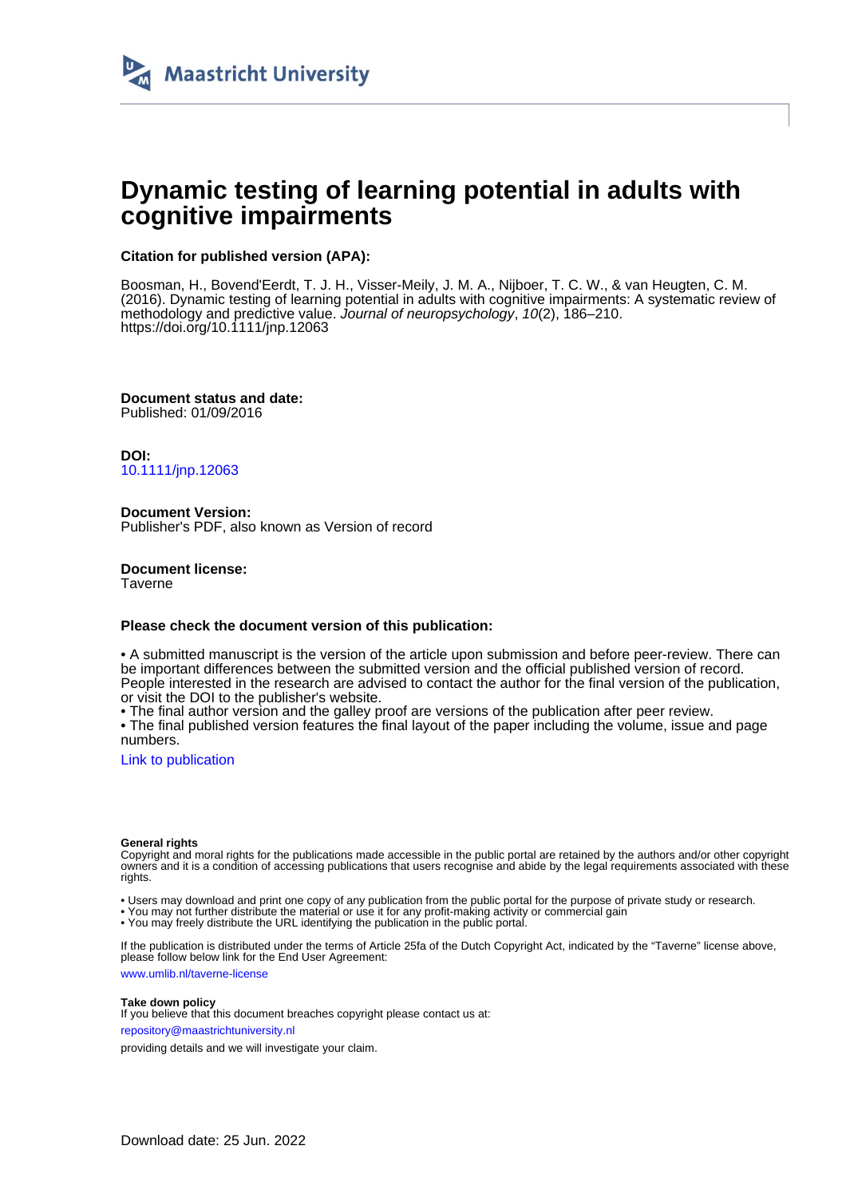

# **Dynamic testing of learning potential in adults with cognitive impairments**

# **Citation for published version (APA):**

Boosman, H., Bovend'Eerdt, T. J. H., Visser-Meily, J. M. A., Nijboer, T. C. W., & van Heugten, C. M. (2016). Dynamic testing of learning potential in adults with cognitive impairments: A systematic review of methodology and predictive value. Journal of neuropsychology, 10(2), 186–210. <https://doi.org/10.1111/jnp.12063>

**Document status and date:** Published: 01/09/2016

**DOI:** [10.1111/jnp.12063](https://doi.org/10.1111/jnp.12063)

**Document Version:** Publisher's PDF, also known as Version of record

**Document license: Taverne** 

## **Please check the document version of this publication:**

• A submitted manuscript is the version of the article upon submission and before peer-review. There can be important differences between the submitted version and the official published version of record. People interested in the research are advised to contact the author for the final version of the publication, or visit the DOI to the publisher's website.

• The final author version and the galley proof are versions of the publication after peer review.

• The final published version features the final layout of the paper including the volume, issue and page numbers.

[Link to publication](https://cris.maastrichtuniversity.nl/en/publications/20600c79-fd22-4bc3-aeab-a4501040bc6a)

#### **General rights**

Copyright and moral rights for the publications made accessible in the public portal are retained by the authors and/or other copyright owners and it is a condition of accessing publications that users recognise and abide by the legal requirements associated with these rights.

• Users may download and print one copy of any publication from the public portal for the purpose of private study or research.

• You may not further distribute the material or use it for any profit-making activity or commercial gain

• You may freely distribute the URL identifying the publication in the public portal.

If the publication is distributed under the terms of Article 25fa of the Dutch Copyright Act, indicated by the "Taverne" license above, please follow below link for the End User Agreement:

www.umlib.nl/taverne-license

#### **Take down policy**

If you believe that this document breaches copyright please contact us at: repository@maastrichtuniversity.nl

providing details and we will investigate your claim.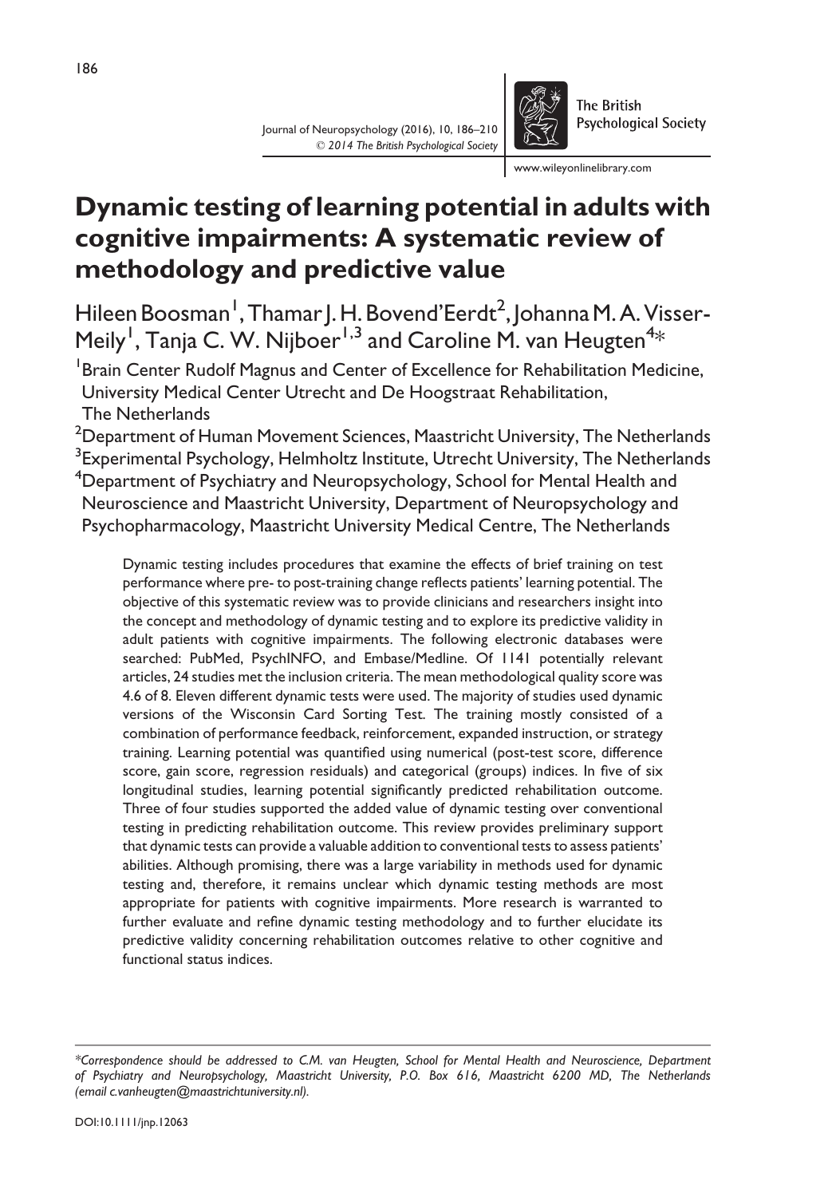

The British **Psychological Society** 

www.wileyonlinelibrary.com

# Dynamic testing of learning potential in adults with cognitive impairments: A systematic review of methodology and predictive value

Hileen Boosman <sup>I</sup>, Thamar J. H. Bovend'Eerdt<sup>2</sup>, Johanna M. A. Visser-Meily<sup>1</sup>, Tanja C. W. Nijboer $^{1,3}$  and Caroline M. van Heugten $^{4\ast}$ 

<sup>1</sup> Brain Center Rudolf Magnus and Center of Excellence for Rehabilitation Medicine, University Medical Center Utrecht and De Hoogstraat Rehabilitation, The Netherlands

 $^{\rm 2}$ Department of Human Movement Sciences, Maastricht University, The Netherlands  $^3$ Experimental Psychology, Helmholtz Institute, Utrecht University, The Netherlands  $^4$ Department of Psychiatry and Neuropsychology, School for Mental Health and Neuroscience and Maastricht University, Department of Neuropsychology and Psychopharmacology, Maastricht University Medical Centre, The Netherlands

Dynamic testing includes procedures that examine the effects of brief training on test performance where pre- to post-training change reflects patients' learning potential. The objective of this systematic review was to provide clinicians and researchers insight into the concept and methodology of dynamic testing and to explore its predictive validity in adult patients with cognitive impairments. The following electronic databases were searched: PubMed, PsychINFO, and Embase/Medline. Of 1141 potentially relevant articles, 24 studies met the inclusion criteria. The mean methodological quality score was 4.6 of 8. Eleven different dynamic tests were used. The majority of studies used dynamic versions of the Wisconsin Card Sorting Test. The training mostly consisted of a combination of performance feedback, reinforcement, expanded instruction, or strategy training. Learning potential was quantified using numerical (post-test score, difference score, gain score, regression residuals) and categorical (groups) indices. In five of six longitudinal studies, learning potential significantly predicted rehabilitation outcome. Three of four studies supported the added value of dynamic testing over conventional testing in predicting rehabilitation outcome. This review provides preliminary support that dynamic tests can provide a valuable addition to conventional tests to assess patients' abilities. Although promising, there was a large variability in methods used for dynamic testing and, therefore, it remains unclear which dynamic testing methods are most appropriate for patients with cognitive impairments. More research is warranted to further evaluate and refine dynamic testing methodology and to further elucidate its predictive validity concerning rehabilitation outcomes relative to other cognitive and functional status indices.

<sup>\*</sup>Correspondence should be addressed to C.M. van Heugten, School for Mental Health and Neuroscience, Department of Psychiatry and Neuropsychology, Maastricht University, P.O. Box 616, Maastricht 6200 MD, The Netherlands (email c.vanheugten@maastrichtuniversity.nl).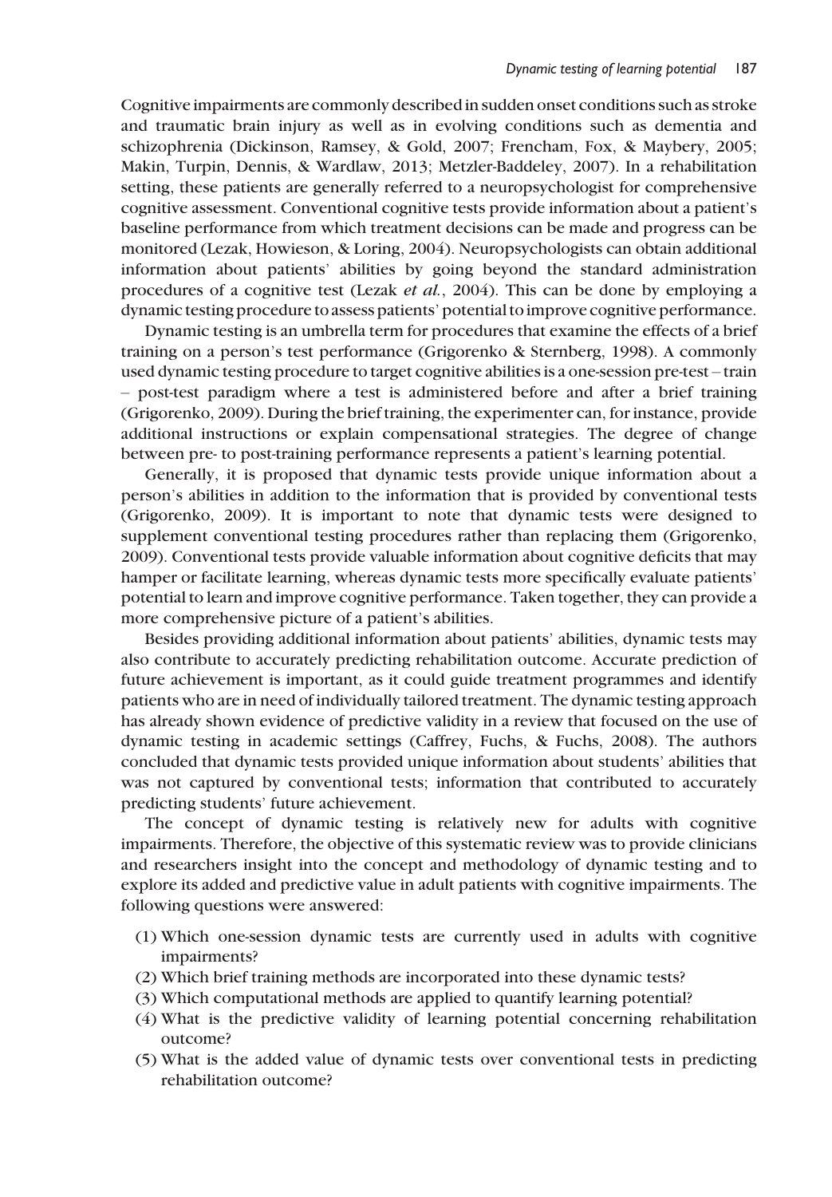Cognitive impairments are commonly described in sudden onset conditions such as stroke and traumatic brain injury as well as in evolving conditions such as dementia and schizophrenia (Dickinson, Ramsey, & Gold, 2007; Frencham, Fox, & Maybery, 2005; Makin, Turpin, Dennis, & Wardlaw, 2013; Metzler-Baddeley, 2007). In a rehabilitation setting, these patients are generally referred to a neuropsychologist for comprehensive cognitive assessment. Conventional cognitive tests provide information about a patient's baseline performance from which treatment decisions can be made and progress can be monitored (Lezak, Howieson, & Loring, 2004). Neuropsychologists can obtain additional information about patients' abilities by going beyond the standard administration procedures of a cognitive test (Lezak et al., 2004). This can be done by employing a dynamic testing procedure to assess patients' potential to improve cognitive performance.

Dynamic testing is an umbrella term for procedures that examine the effects of a brief training on a person's test performance (Grigorenko & Sternberg, 1998). A commonly used dynamic testing procedure to target cognitive abilities is a one-session pre-test – train – post-test paradigm where a test is administered before and after a brief training (Grigorenko, 2009). During the brief training, the experimenter can, for instance, provide additional instructions or explain compensational strategies. The degree of change between pre- to post-training performance represents a patient's learning potential.

Generally, it is proposed that dynamic tests provide unique information about a person's abilities in addition to the information that is provided by conventional tests (Grigorenko, 2009). It is important to note that dynamic tests were designed to supplement conventional testing procedures rather than replacing them (Grigorenko, 2009). Conventional tests provide valuable information about cognitive deficits that may hamper or facilitate learning, whereas dynamic tests more specifically evaluate patients' potential to learn and improve cognitive performance. Taken together, they can provide a more comprehensive picture of a patient's abilities.

Besides providing additional information about patients' abilities, dynamic tests may also contribute to accurately predicting rehabilitation outcome. Accurate prediction of future achievement is important, as it could guide treatment programmes and identify patients who are in need of individually tailored treatment. The dynamic testing approach has already shown evidence of predictive validity in a review that focused on the use of dynamic testing in academic settings (Caffrey, Fuchs, & Fuchs, 2008). The authors concluded that dynamic tests provided unique information about students' abilities that was not captured by conventional tests; information that contributed to accurately predicting students' future achievement.

The concept of dynamic testing is relatively new for adults with cognitive impairments. Therefore, the objective of this systematic review was to provide clinicians and researchers insight into the concept and methodology of dynamic testing and to explore its added and predictive value in adult patients with cognitive impairments. The following questions were answered:

- (1) Which one-session dynamic tests are currently used in adults with cognitive impairments?
- (2) Which brief training methods are incorporated into these dynamic tests?
- (3) Which computational methods are applied to quantify learning potential?
- (4) What is the predictive validity of learning potential concerning rehabilitation outcome?
- (5) What is the added value of dynamic tests over conventional tests in predicting rehabilitation outcome?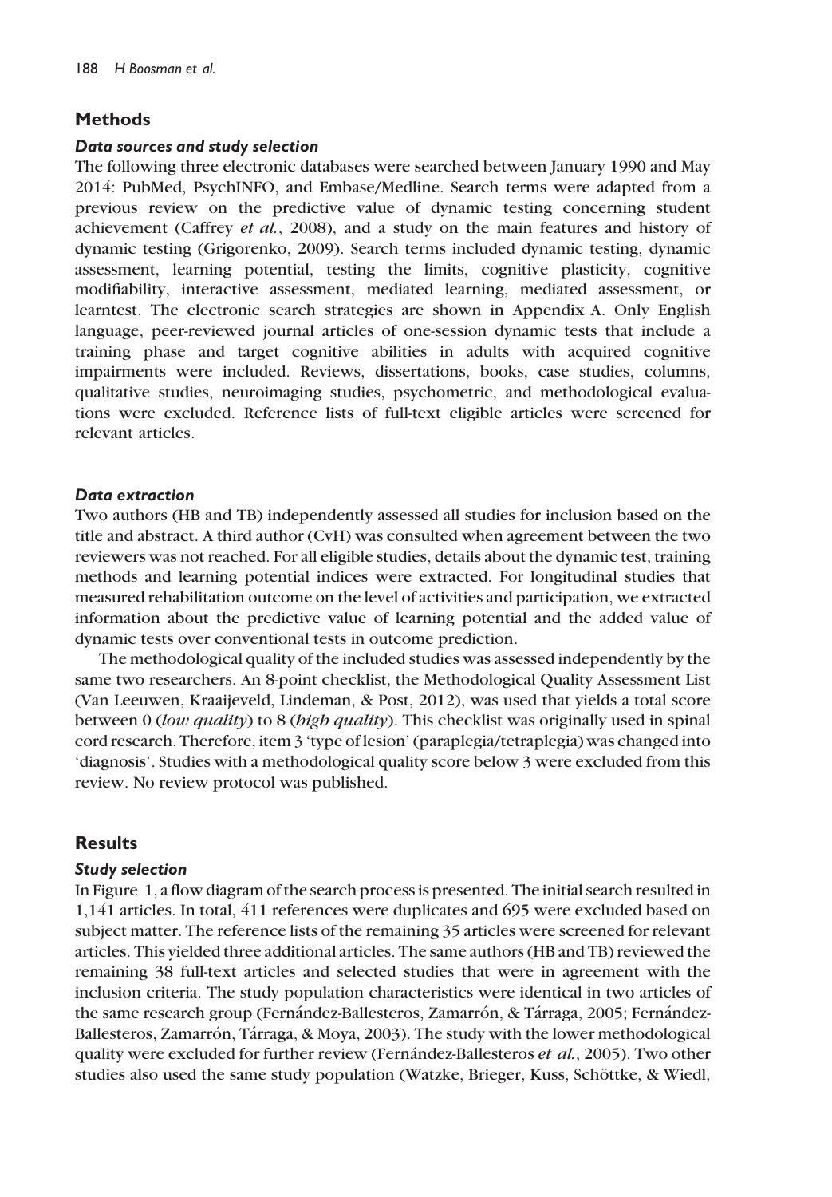# **Methods**

#### Data sources and study selection

The following three electronic databases were searched between January 1990 and May 2014: PubMed, PsychINFO, and Embase/Medline. Search terms were adapted from a previous review on the predictive value of dynamic testing concerning student achievement (Caffrey et al., 2008), and a study on the main features and history of dynamic testing (Grigorenko, 2009). Search terms included dynamic testing, dynamic assessment, learning potential, testing the limits, cognitive plasticity, cognitive modifiability, interactive assessment, mediated learning, mediated assessment, or learntest. The electronic search strategies are shown in Appendix A. Only English language, peer-reviewed journal articles of one-session dynamic tests that include a training phase and target cognitive abilities in adults with acquired cognitive impairments were included. Reviews, dissertations, books, case studies, columns, qualitative studies, neuroimaging studies, psychometric, and methodological evaluations were excluded. Reference lists of full-text eligible articles were screened for relevant articles.

#### Data extraction

Two authors (HB and TB) independently assessed all studies for inclusion based on the title and abstract. A third author (CvH) was consulted when agreement between the two reviewers was not reached. For all eligible studies, details about the dynamic test, training methods and learning potential indices were extracted. For longitudinal studies that measured rehabilitation outcome on the level of activities and participation, we extracted information about the predictive value of learning potential and the added value of dynamic tests over conventional tests in outcome prediction.

The methodological quality of the included studies was assessed independently by the same two researchers. An 8-point checklist, the Methodological Quality Assessment List (Van Leeuwen, Kraaijeveld, Lindeman, & Post, 2012), was used that yields a total score between 0 (low quality) to 8 (high quality). This checklist was originally used in spinal cord research. Therefore, item 3 'type of lesion' (paraplegia/tetraplegia) was changed into 'diagnosis'. Studies with a methodological quality score below 3 were excluded from this review. No review protocol was published.

#### Results

#### Study selection

In Figure 1, a flow diagram of the search process is presented. The initial search resulted in 1,141 articles. In total, 411 references were duplicates and 695 were excluded based on subject matter. The reference lists of the remaining 35 articles were screened for relevant articles. This yielded three additional articles. The same authors (HB and TB) reviewed the remaining 38 full-text articles and selected studies that were in agreement with the inclusion criteria. The study population characteristics were identical in two articles of the same research group (Fernández-Ballesteros, Zamarrón, & Tárraga, 2005; Fernández-Ballesteros, Zamarrón, Tárraga, & Moya, 2003). The study with the lower methodological quality were excluded for further review (Fernández-Ballesteros et al., 2005). Two other studies also used the same study population (Watzke, Brieger, Kuss, Schöttke, & Wiedl,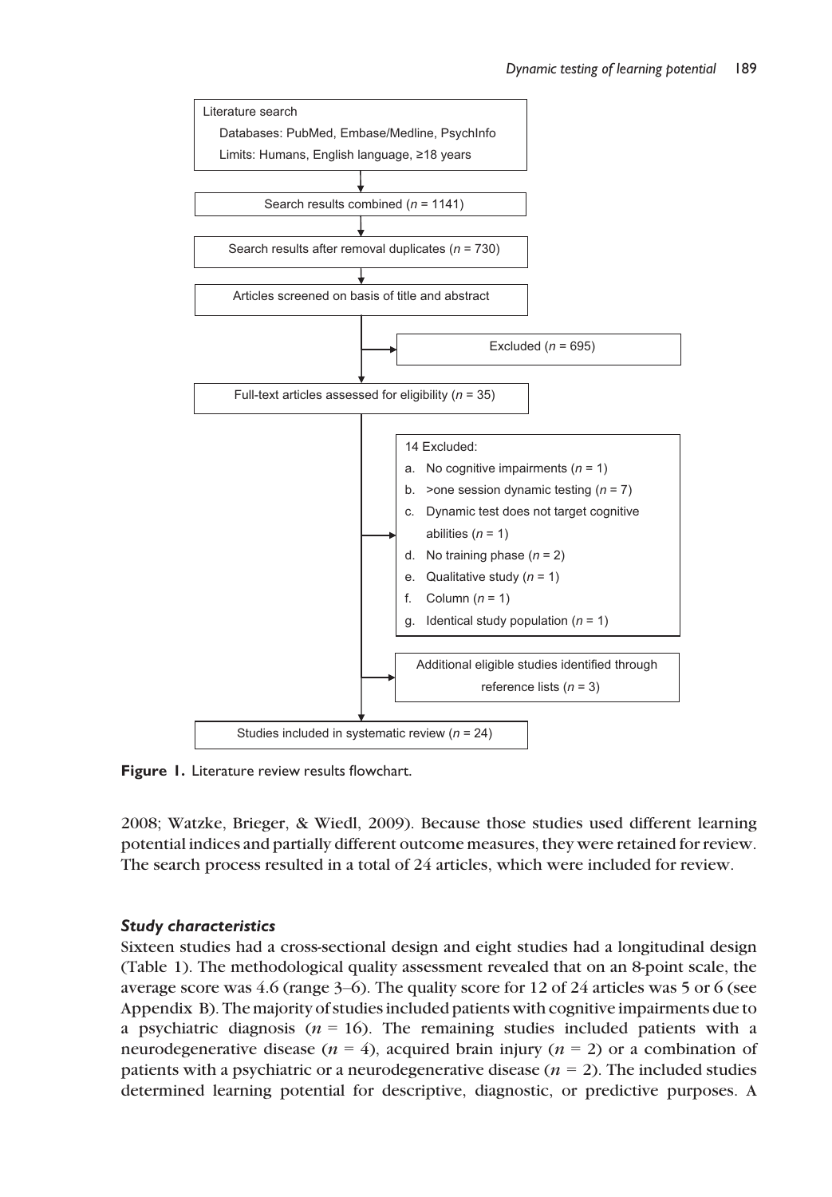

Figure 1. Literature review results flowchart.

2008; Watzke, Brieger, & Wiedl, 2009). Because those studies used different learning potential indices and partially different outcome measures, they were retained for review. The search process resulted in a total of 24 articles, which were included for review.

#### Study characteristics

Sixteen studies had a cross-sectional design and eight studies had a longitudinal design (Table 1). The methodological quality assessment revealed that on an 8-point scale, the average score was 4.6 (range 3–6). The quality score for 12 of 24 articles was 5 or 6 (see Appendix B). The majority of studies included patients with cognitive impairments due to a psychiatric diagnosis ( $n = 16$ ). The remaining studies included patients with a neurodegenerative disease ( $n = 4$ ), acquired brain injury ( $n = 2$ ) or a combination of patients with a psychiatric or a neurodegenerative disease ( $n = 2$ ). The included studies determined learning potential for descriptive, diagnostic, or predictive purposes. A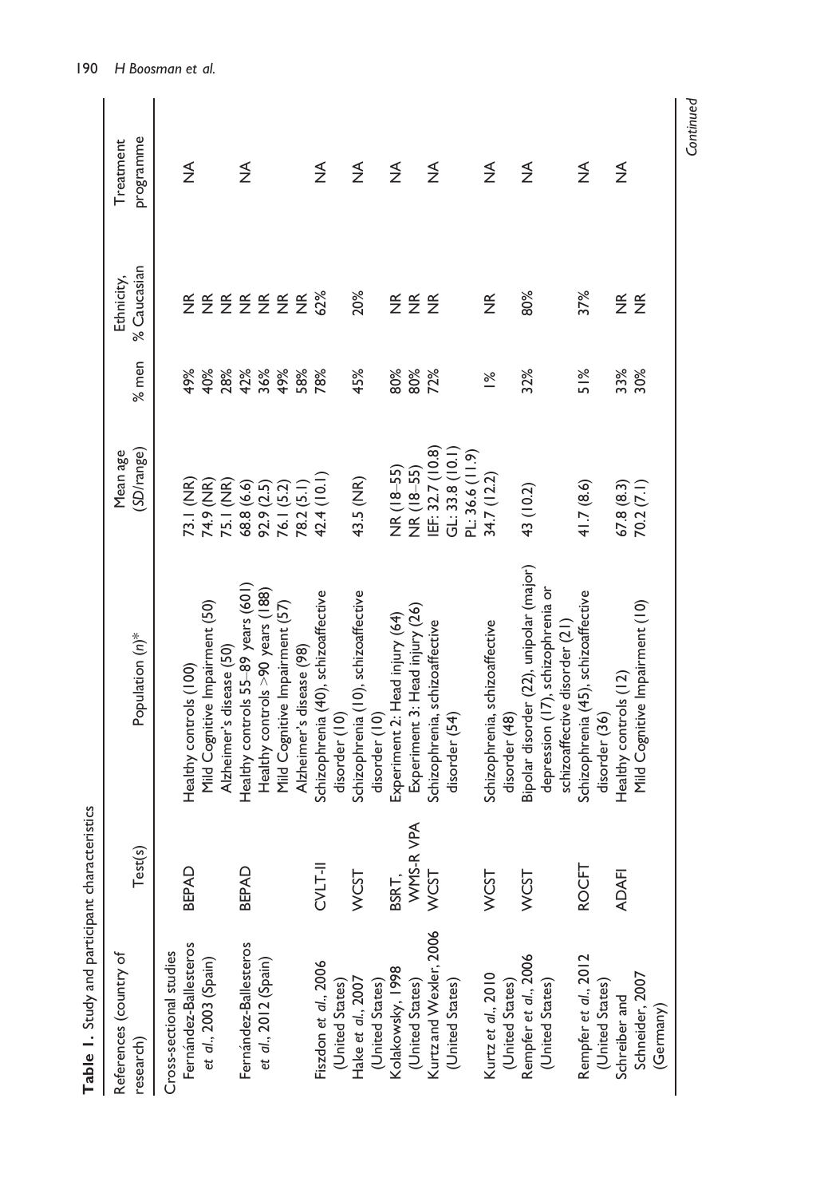| Table 1. Study and participant characteristics |               |                                         |                          |               |                    |           |
|------------------------------------------------|---------------|-----------------------------------------|--------------------------|---------------|--------------------|-----------|
| References (country of                         |               |                                         | Mean age                 |               | Ethnicity,         | Treatment |
| research)                                      | Test(s)       | Population (n)*                         | (SD/range)               | $%$ men       | % Caucasian        | programme |
| Cross-sectional studies                        |               |                                         |                          |               |                    |           |
| Fernández-Ballesteros                          | <b>BEPAC</b>  | Healthy controls (100)                  | 73.1 (NR)                | 49%           | $\frac{\alpha}{Z}$ | ≸         |
| et al., 2003 (Spain)                           |               | Mild Cognitive Impairment (50)          | 74.9 (NR)                | 40%           | $\widetilde{\Xi}$  |           |
|                                                |               | Alzheimer's disease (50)                | 75.1 (NR)                | 28%           | $\widetilde{\Xi}$  |           |
| Fernández-Ballesteros                          | BEPAC         | Healthy controls 55-89 years (601)      | 68.8 (6.6)               | 42%           |                    | ≸         |
| et al., 2012 (Spain)                           |               | Healthy controls >90 years (188)        | 92.9 (2.5)<br>76.1 (5.2) | 36%           |                    |           |
|                                                |               | Mild Cognitive Impairment (57)          |                          | 49%           | E E E E            |           |
|                                                |               | Alzheimer's disease (98)                | 78.2(5.1)                | 58%           |                    |           |
| Fiszdon et al., 2006                           | <b>CVLT-I</b> | Schizophrenia (40), schizoaffective     | 42.4(10.1)               | 78%           |                    | ≸         |
| (United States)                                |               | disorder (10)                           |                          |               |                    |           |
| Hake et al., 2007                              | WCST          | Schizophrenia (10), schizoaffective     | 43.5 (NR)                | 45%           | 20%                | ≸         |
| (United States)                                |               | disorder (10)                           |                          |               |                    |           |
| Kolakowsky, 1998                               | BSRT,         | Experiment 2: Head injury (64)          | NR (18-55)               | 80%           | $\frac{\alpha}{Z}$ | ≸         |
| (United States)                                | WMS-R VPA     | Experiment 3: Head injury (26)          | NR (18-55)               | 80%           | $\widetilde{\Xi}$  |           |
| Kurtz and Wexler, 2006                         | WCST          | Schizophrenia, schizoaffective          | IEF: 32.7 (10.8)         | 72%           | $\frac{\alpha}{2}$ | ≸         |
| (United States)                                |               | disorder (54)                           | GL: 33.8 (10.1)          |               |                    |           |
|                                                |               |                                         | PL: 36.6 (11.9)          |               |                    |           |
| Kurtz et al., 2010                             | WCST          | Schizophrenia, schizoaffective          | 34.7(12.2)               | $\frac{8}{3}$ | $\frac{\alpha}{2}$ | ≸         |
| (United States)                                |               | disorder (48)                           |                          |               |                    |           |
| Rempfer et al., 2006                           | WCST          | Bipolar disorder (22), unipolar (major) | 43 (10.2)                | 32%           | 80%                | ≸         |
| (United States)                                |               | depression (17), schizophrenia or       |                          |               |                    |           |
|                                                |               | schizoaffective disorder (21)           |                          |               |                    |           |
| Rempfer et al., 2012                           | ROCFT         | Schizophrenia (45), schizoaffective     | 41.7 (8.6)               | $\frac{8}{9}$ | 37%                | ≸         |
| (United States)                                |               | disorder (36)                           |                          |               |                    |           |
| Schreiber and                                  | <b>ADAFI</b>  | Healthy controls (12)                   | 67.8(8.3)                | 33%           | $\frac{\alpha}{2}$ | ≸         |
| Schneider, 2007                                |               | Mild Cognitive Impairment (10)          | 70.2 (7.1)               | 30%           | $\frac{\alpha}{2}$ |           |
| (Germany)                                      |               |                                         |                          |               |                    |           |

190 H Boosman et al.

Continued Continued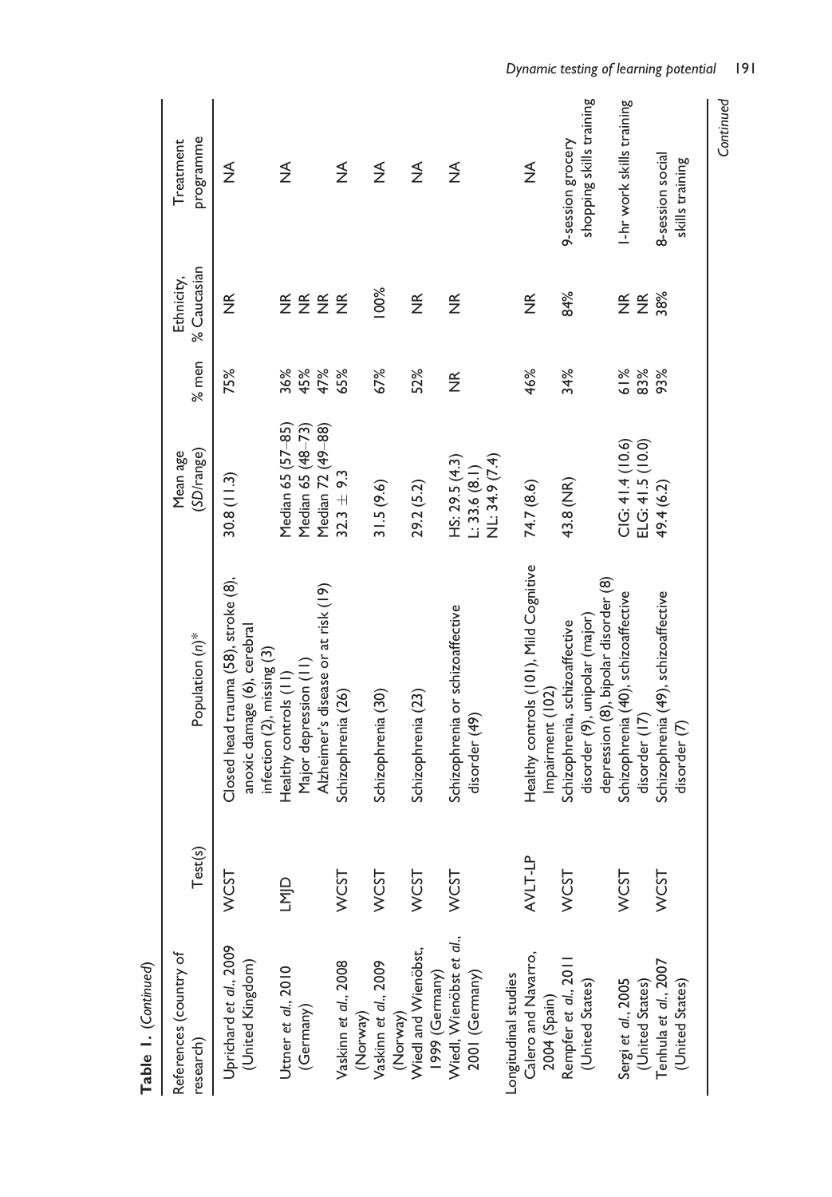| Table 1. (Continued)                       |            |                                                                                                          |                                                             |                   |                                      |                                               |
|--------------------------------------------|------------|----------------------------------------------------------------------------------------------------------|-------------------------------------------------------------|-------------------|--------------------------------------|-----------------------------------------------|
| References (country of<br>research)        | Test(s)    | Population (n)*                                                                                          | (SD/range)<br>Mean age                                      | $%$ men           | % Caucasian<br>Ethnicity,            | programme<br>Treatment                        |
| Uprichard et al., 2009<br>(United Kingdom) | WCST       | Closed head trauma (58), stroke (8),<br>anoxic damage (6), cerebral<br>infection $(2)$ , missing $(3)$   | 30.8(11.3)                                                  | 75%               | $\widetilde{\Xi}$                    | ≸                                             |
| Uttner et al., 2010<br>(Germany)           | <b>UMD</b> | Alzheimer's disease or at risk (19)<br>Major depression (11)<br>Healthy controls (11)                    | Median 65 (57-85)<br>Median 72 (49-88)<br>Median 65 (48–73) | 45%<br>36%<br>47% | $E \n\t\leq E$<br>$\frac{\alpha}{2}$ | ≸                                             |
| Vaskinn et al., 2008<br>(Norway)           | WCST       | Schizophrenia (26)                                                                                       | $32.3 + 9.3$                                                | 65%               | $\widetilde{\Xi}$                    | ≸                                             |
| Vaskinn et al., 2009<br>(Norway)           | WCST       | Schizophrenia (30)                                                                                       | 31.5(9.6)                                                   | 67%               | 100%                                 | ≸                                             |
| Wiedl and Wienöbst,<br>(Germany) (999)     | WCST       | Schizophrenia (23)                                                                                       | 29.2(5.2)                                                   | 52%               | $\frac{\alpha}{2}$                   | ≸                                             |
| Wiedl, Wienöbst et al.,<br>2001 (Germany)  | WCST       | Schizophrenia or schizoaffective<br>disorder (49)                                                        | NL: 34.9 (7.4)<br>HS: 29.5 (4.3)<br>L: 33.6 (8.1)           | $\widetilde{\Xi}$ | $\frac{\alpha}{2}$                   | ≸                                             |
| Longitudinal studies                       |            |                                                                                                          |                                                             |                   |                                      |                                               |
| Calero and Navarro,<br>2004 (Spain)        | AVLT-LP    | Healthy controls (101), Mild Cognitive<br>Impairment (102)                                               | 74.7 (8.6)                                                  | 46%               | $\frac{\alpha}{2}$                   | ≸                                             |
| Rempfer et al., 2011<br>(United States)    | WCST       | depression (8), bipolar disorder (8)<br>disorder (9), unipolar (major)<br>Schizophrenia, schizoaffective | 43.8 (NR)                                                   | 34%               | 84%                                  | shopping skills training<br>9-session grocery |
| Sergi et al., 2005<br>(United States)      | WCST       | Schizophrenia (40), schizoaffective<br>disorder (17)                                                     | CIG: 41.4(10.6)<br>ELG: 41.5 (10.0)                         | 61%<br>83%        | $E \n\t\leq$                         | I-hr work skills training                     |
| Tenhula et al., 2007<br>(United States)    | WCST       | Schizophrenia (49), schizoaffective<br>disorder(7)                                                       | 49.4 (6.2)                                                  | 93%               | 38%                                  | 8-session social<br>skills training           |
|                                            |            |                                                                                                          |                                                             |                   |                                      |                                               |

Continued Continued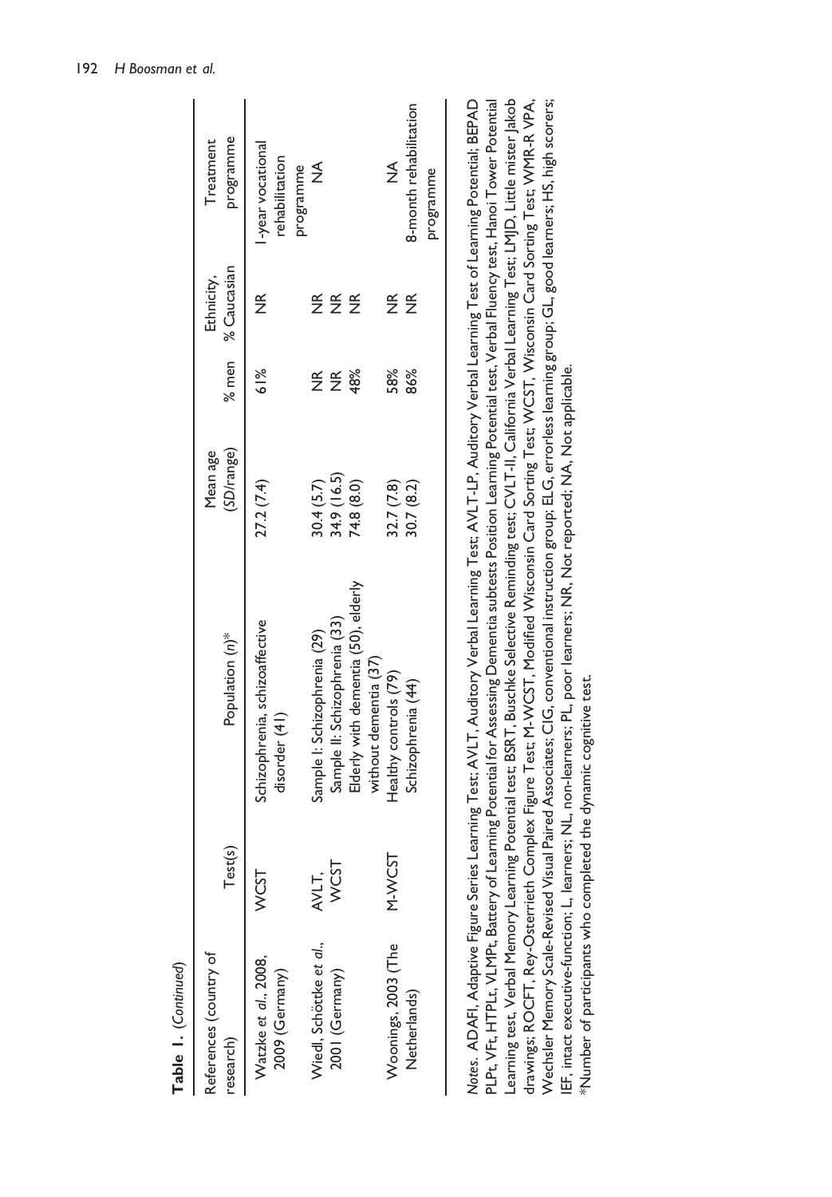| Population (n)*                                               | (SD/range)<br>Mean age              |                                          | % Caucasian<br>Ethnicity,                | programme<br>Treatment                          |
|---------------------------------------------------------------|-------------------------------------|------------------------------------------|------------------------------------------|-------------------------------------------------|
| Schizophrenia, schizoaffective<br>disorder (41)               | 27.2 (7.4)                          | 61%                                      | $\frac{\alpha}{Z}$                       | -year vocational<br>rehabilitation<br>programme |
| Sample II: Schizophrenia (33)<br>Sample I: Schizophrenia (29) | 34.9 (16.5)<br>30.4(5.7)            | $\frac{\alpha}{Z}$<br>$\frac{\alpha}{Z}$ | $\frac{\alpha}{2}$<br>$\frac{\alpha}{Z}$ | ≸                                               |
| without dementia (37)                                         |                                     |                                          |                                          |                                                 |
| Healthy controls (79)                                         | 32.7 (7.8)                          | 58%                                      | $\frac{\alpha}{Z}$                       | ≸                                               |
| Schizophrenia (44)                                            | 30.7 (8.2)                          | 86%                                      | $\frac{\alpha}{Z}$                       | 3-month rehabilitation<br>programme             |
|                                                               |                                     |                                          |                                          |                                                 |
|                                                               | Elderly with dementia (50), elderly | 4.8(8.0)                                 | 48%                                      | $\frac{\alpha}{2}$<br>$%$ men                   |

Notes. ADAFI, Adaptive Figure Series Learning Test: AVLT, Auditory Verbal Learning Test; AVLT-LP, Auditory Verbal Learning Test of Learning Potential; BEPAD Learning test, Verbal Memory Learning Potential test; BSRT, Buschke Selective Reminding test; CVLT-II, California Verbal Learning Test; LMJD, Little mister Jakob PLPt, VFt, HTPLt, VLMPt, Battery of Learning Potential for Assessing Dementia subtests Position Learning Potential test, Verbal Fluency test, Hanoi Tower Potential drawings; ROCFT, Rey-Osterrieth Complex Figure Test; M-WCST, Modified Wisconsin Card Sorting Test; Wisconsin Card Sorting Test; WMR-R VPA, Wechsler Memory Scale-Revised Visual Paired Associates; CIG, conventional instruction group; ELG, errorless learning group; GL, good learners; HS, high scorers; Notes. ADAFI, Adaptive Figure Series Learning Test; AVLT, Auditory Verbal Learning Test; AVLT-LP, Auditory Verbal Learning Test of Learning Potential; BEPAD PLPt, VFt, HTPLt, VLMPt, Battery of Learning Potential for Assessing Dementia subtests Position Learning Potential test, Verbal Fluency test, Hanoi Tower Potential Learning test, Verbal Memory Learning Potential test; BSRT, Buschke Selective Reminding test; CVLT-II, California Verbal Learning Test; LMJD, Little mister Jakob drawings; ROCFT, Rey-Osterrieth Complex Figure Test; M-WCST, Modified Wisconsin Card Sorting Test; WCST, Wisconsin Card Sorting Test; WMR-R VPA, Wechsler Memory Scale-Revised Visual Paired Associates; CIG, conventional instruction group; ELG, errorless learning group; GL, good learners; HS, high scorers; EF, intact executive-function; L, learners; NL, non-learners; PL, poor learners; NR, Not reported; NA, Not applicable. IEF, intact executive-function; L, learners; NL, non-learners; PL, poor learners; NR, Not reported; NA, Not applicable. Klumber of participants who completed the dynamic cognitive test. \*Number of participants who completed the dynamic cognitive test.

Table 1. (Continued)  $Table 1. (Continued)$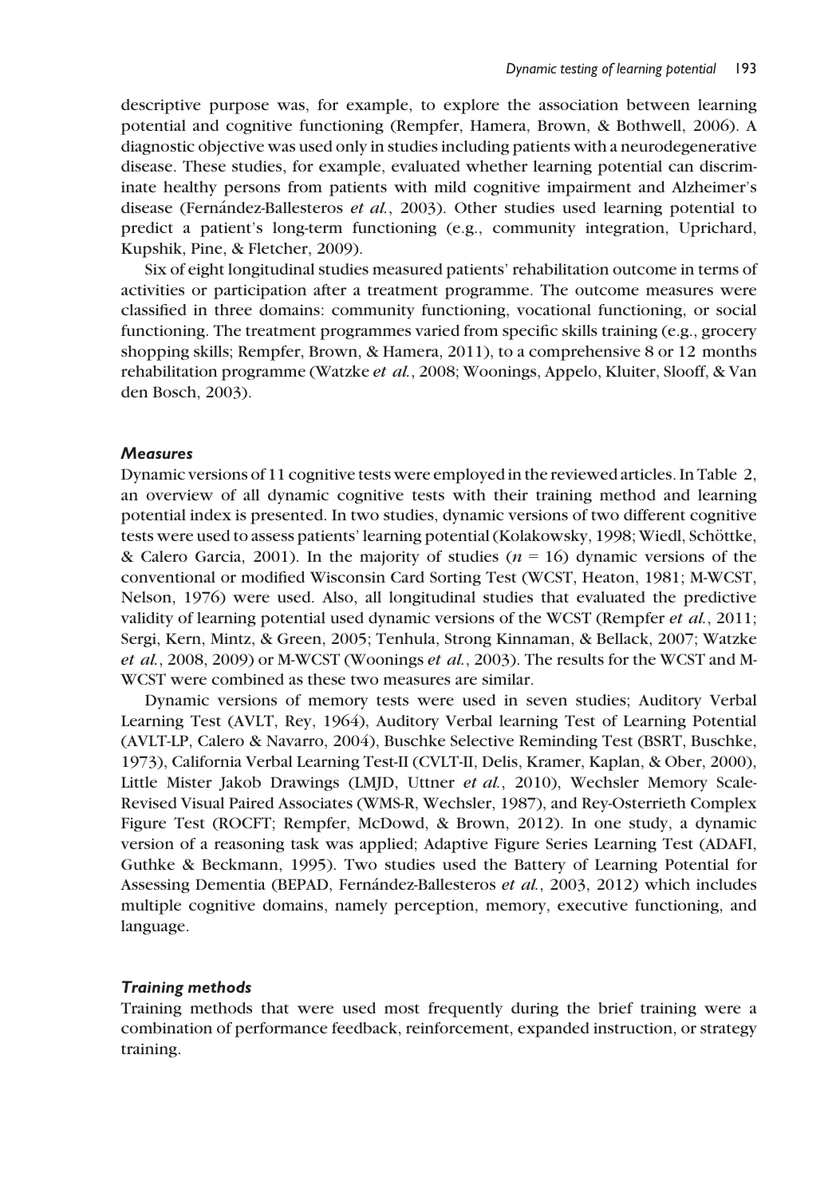descriptive purpose was, for example, to explore the association between learning potential and cognitive functioning (Rempfer, Hamera, Brown, & Bothwell, 2006). A diagnostic objective was used only in studies including patients with a neurodegenerative disease. These studies, for example, evaluated whether learning potential can discriminate healthy persons from patients with mild cognitive impairment and Alzheimer's disease (Fernández-Ballesteros et al., 2003). Other studies used learning potential to predict a patient's long-term functioning (e.g., community integration, Uprichard, Kupshik, Pine, & Fletcher, 2009).

Six of eight longitudinal studies measured patients' rehabilitation outcome in terms of activities or participation after a treatment programme. The outcome measures were classified in three domains: community functioning, vocational functioning, or social functioning. The treatment programmes varied from specific skills training (e.g., grocery shopping skills; Rempfer, Brown, & Hamera, 2011), to a comprehensive 8 or 12 months rehabilitation programme (Watzke et al., 2008; Woonings, Appelo, Kluiter, Slooff, & Van den Bosch, 2003).

#### **Measures**

Dynamic versions of 11 cognitive tests were employed in the reviewed articles. In Table 2, an overview of all dynamic cognitive tests with their training method and learning potential index is presented. In two studies, dynamic versions of two different cognitive tests were used to assess patients' learning potential (Kolakowsky, 1998; Wiedl, Schöttke, & Calero Garcia, 2001). In the majority of studies ( $n = 16$ ) dynamic versions of the conventional or modified Wisconsin Card Sorting Test (WCST, Heaton, 1981; M-WCST, Nelson, 1976) were used. Also, all longitudinal studies that evaluated the predictive validity of learning potential used dynamic versions of the WCST (Rempfer et al., 2011; Sergi, Kern, Mintz, & Green, 2005; Tenhula, Strong Kinnaman, & Bellack, 2007; Watzke et al., 2008, 2009) or M-WCST (Woonings et al., 2003). The results for the WCST and M-WCST were combined as these two measures are similar.

Dynamic versions of memory tests were used in seven studies; Auditory Verbal Learning Test (AVLT, Rey, 1964), Auditory Verbal learning Test of Learning Potential (AVLT-LP, Calero & Navarro, 2004), Buschke Selective Reminding Test (BSRT, Buschke, 1973), California Verbal Learning Test-II (CVLT-II, Delis, Kramer, Kaplan, & Ober, 2000), Little Mister Jakob Drawings (LMJD, Uttner et al., 2010), Wechsler Memory Scale-Revised Visual Paired Associates (WMS-R, Wechsler, 1987), and Rey-Osterrieth Complex Figure Test (ROCFT; Rempfer, McDowd, & Brown, 2012). In one study, a dynamic version of a reasoning task was applied; Adaptive Figure Series Learning Test (ADAFI, Guthke & Beckmann, 1995). Two studies used the Battery of Learning Potential for Assessing Dementia (BEPAD, Fernandez-Ballesteros et al., 2003, 2012) which includes multiple cognitive domains, namely perception, memory, executive functioning, and language.

#### Training methods

Training methods that were used most frequently during the brief training were a combination of performance feedback, reinforcement, expanded instruction, or strategy training.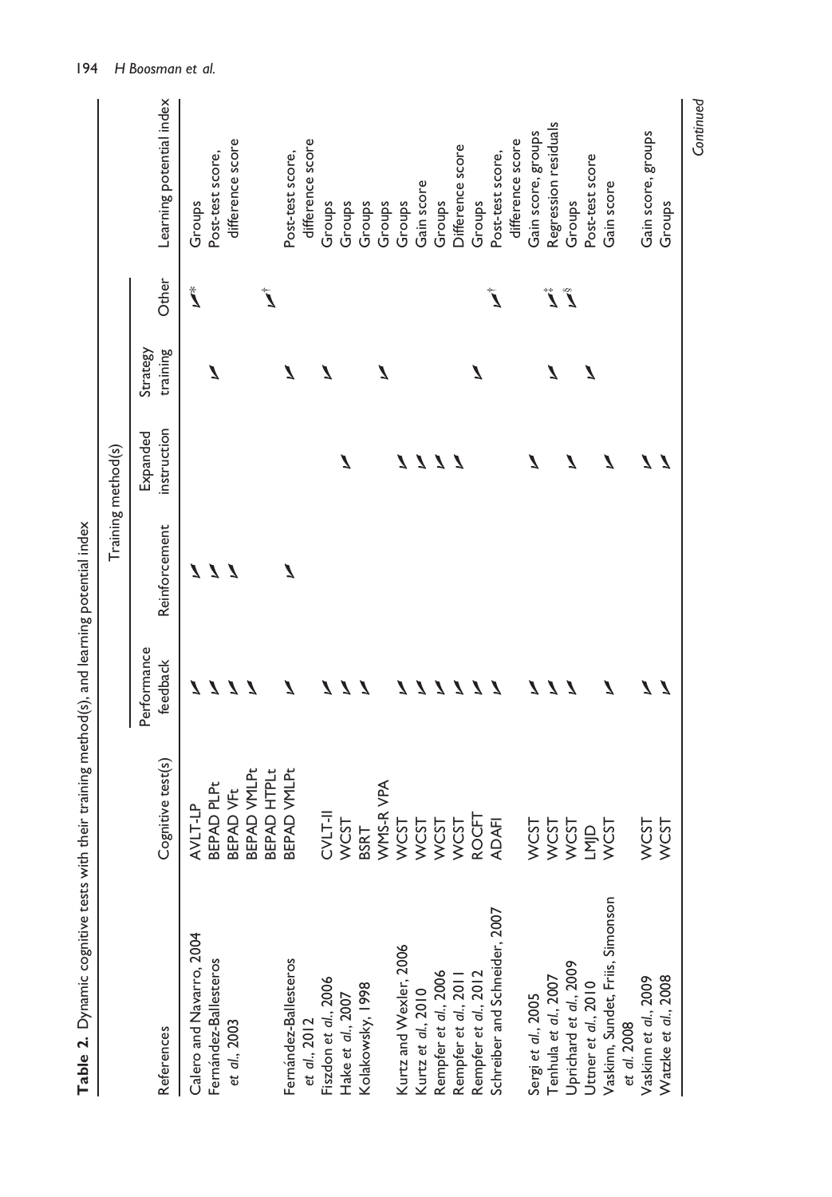| Table 2. Dynamic cognitive tests with their training method(s), and learning potential index |                   |                         |               |                         |                      |              |                          |
|----------------------------------------------------------------------------------------------|-------------------|-------------------------|---------------|-------------------------|----------------------|--------------|--------------------------|
|                                                                                              |                   |                         |               | Training method(s)      |                      |              |                          |
| References                                                                                   | Cognitive test(s) | Performance<br>feedback | Reinforcement | instruction<br>Expanded | training<br>Strategy | Other        | Learning potential index |
| Calero and Navarro, 2004                                                                     | AVLT-LP           |                         | 7             |                         |                      | Ĺ            | Groups                   |
| Fernández-Ballesteros                                                                        | BEPAD PLPt        | Z                       | Z             |                         | Z                    |              | Post-test score,         |
| et al., 2003                                                                                 | BEPAD VFt         | Z                       | $\mathbf{Z}$  |                         |                      |              | difference score         |
|                                                                                              | BEPAD VMLPt       | J                       |               |                         |                      |              |                          |
|                                                                                              | BEPAD HTPLt       |                         |               |                         |                      | $\vec{\ell}$ |                          |
| Fernández-Ballesteros                                                                        | BEPAD VMLPt       | Ź                       | Z             |                         | Z                    |              | Post-test score,         |
|                                                                                              |                   |                         |               |                         |                      |              | difference score         |
|                                                                                              | CVLT-II           | Z                       |               |                         | Z                    |              | Groups                   |
| et <i>a</i> l., 2012<br>Fiszdon et <i>al</i> ., 2006<br>Hake et <i>al.</i> , 2007            | WCST              |                         |               | Z                       |                      |              | Groups                   |
| Kolakowsky, 1998                                                                             | <b>BSRT</b>       | J                       |               |                         |                      |              | Groups                   |
|                                                                                              | WWS-R VPA         |                         |               |                         | Z                    |              | Groups                   |
| Kurtz and Wexler, 2006                                                                       | <b>WCST</b>       |                         |               | Z                       |                      |              | Groups                   |
| Kurtz et al., 2010                                                                           | WCST              |                         |               | Z                       |                      |              | Gain score               |
|                                                                                              | <b>WCST</b>       |                         |               | $\overline{1}$          |                      |              | Groups                   |
| Rempfer et al., 2006<br>Rempfer et al., 2011<br>Rempfer et al., 2012                         | WCST              |                         |               |                         |                      |              | Difference score         |
|                                                                                              | ROCFT             |                         |               |                         | Z                    |              | Groups                   |
| Schreiber and Schneider, 2007                                                                | <b>ADAFI</b>      | Z                       |               |                         |                      | $\vec{\ell}$ | Post-test score,         |
|                                                                                              |                   |                         |               |                         |                      |              | difference score         |
| Sergi et <i>al.</i> , 2005<br>Tenhula et <i>al.</i> , 2007                                   | WCST              | Z                       |               | Ź                       |                      |              | Gain score, groups       |
|                                                                                              | WCST              | Z                       |               |                         | Z                    | ï            | Regression residuals     |
| Uprichard et al., 2009                                                                       | WCST              | J                       |               | Z                       |                      | م<br>الأ     | Groups                   |
| Uttner et al., 2010                                                                          | UMD               |                         |               |                         | Z                    |              | Post-test score          |
| Vaskinn, Sundet, Friis, Simonson                                                             | WCST              | Ź                       |               | Z                       |                      |              | Gain score               |
| et al. 2008                                                                                  |                   |                         |               |                         |                      |              |                          |
| Vaskinn et al., 2009                                                                         | WCST              | 7                       |               | 7                       |                      |              | Gain score, groups       |
| Watzke et al., 2008                                                                          | WCST              |                         |               | Z                       |                      |              | Groups                   |

Continued

Continued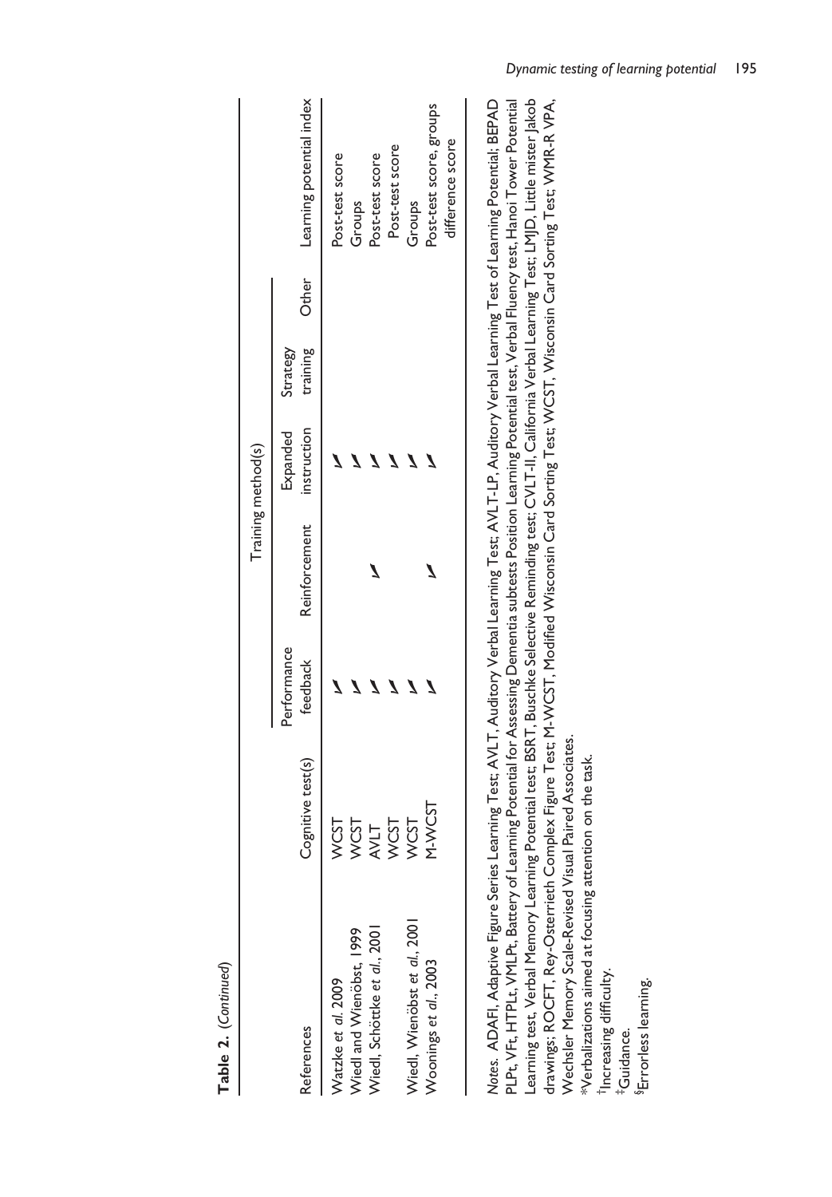Table 2. (Continued) **Table 2.** (Continued)

|                              |                   |                         |               | Training method(s)               |  |                                         |
|------------------------------|-------------------|-------------------------|---------------|----------------------------------|--|-----------------------------------------|
| References                   | Cognitive test(s) | Performance<br>feedback | Reinforcement | Expanded Strategy<br>instruction |  | training Other Learning potential index |
| Vatzke et al. 2009           | VVCST             |                         |               |                                  |  | Post-test score                         |
| Wiedl and Wienöbst, 1999     | WCST              |                         |               |                                  |  | Groups                                  |
| Wiedl, Schöttke et al., 2001 | AVLT<br>WCST      |                         |               |                                  |  | Post-test score                         |
|                              |                   |                         |               |                                  |  | Post-test score                         |
| Wiedl, Wienöbst et al., 2001 | WCST              |                         |               |                                  |  | Groups                                  |
| Woonings et al., 2003        | M-WCST            |                         |               |                                  |  | Post-test score, groups                 |
|                              |                   |                         |               |                                  |  | difference score                        |
|                              |                   |                         |               |                                  |  |                                         |

Notes. ADAFI, Adaptive Figure Series Learning Test: AVLT, Auditory Verbal Learning Test; AVLT-LP, Auditory Verbal Learning Test of Learning Potential; BEPAD Learning test, Verbal Memory Learning Potential test; BSRT, Buschke Selective Reminding test; CVLT-II, California Verbal Learning Test; LMJD, Little mister Jakob PLPt, VFt, HTPLt, VMLPt, Battery of Learning Potential for Assessing Dementia subtests Position Learning Potential test, Verbal Fluency test, Hanoi Tower Potential Notes. ADAFI, Adaptive Figure Series Learning Test; AVLT, Auditory Verbal Learning Test; AVLT-LP, Auditory Verbal Learning Test of Learning Potential; BEPAD PLPt, VFt, HTPLt, VMLPt, Battery of Learning Potential for Assessing Dementia subtests Position Learning Potential test, Verbal Fluency test, Hanoi Tower Potential Learning test, Verbal Memory Learning Potential test; BSRT, Buschke Selective Reminding test; CVLT-II, California Verbal Learning Test; LMJD, Little mister Jakob drawings; ROCFT, Rey-Osterrieth Complex Figure Test; M-WCST, Modified Wisconsin Card Sorting Test; WCST, Wisconsin Card Sorting Test; WMR-R VPA, drawings; ROCFT, Rey-Osterrieth Complex Figure Test; M-WCST, Modified Wisconsin Card Sorting Test; WCST, Wisconsin Card Sorting Test; WMR-R VPA, Wechsler Memory Scale-Revised Visual Paired Associates. Wechsler Memory Scale-Revised Visual Paired Associates.

\*Verbalizations aimed at focusing attention on the task. \*Verbalizations aimed at focusing attention on the task.

†Increasing difficulty.

†Increasing difficulty.<br>‡Guidance.

Errorless learning. §Errorless learning.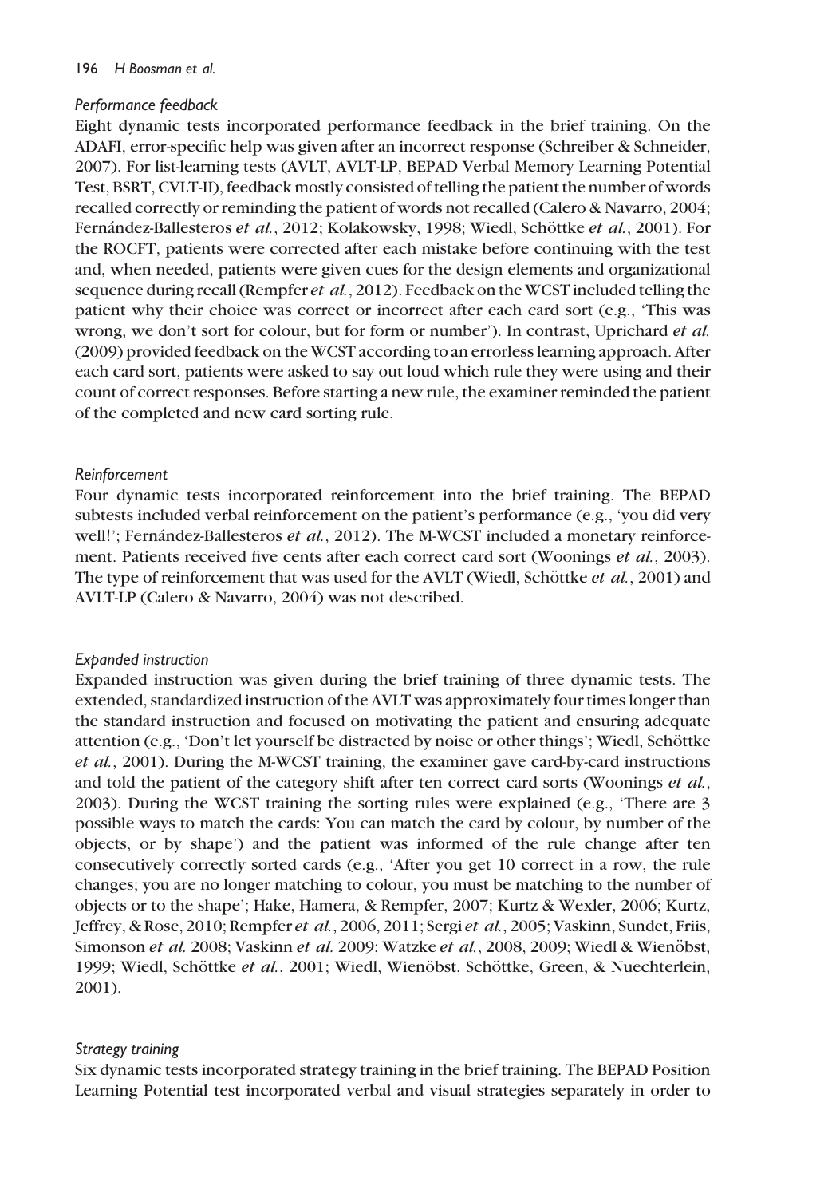#### 196 H Boosman et al.

# Performance feedback

Eight dynamic tests incorporated performance feedback in the brief training. On the ADAFI, error-specific help was given after an incorrect response (Schreiber & Schneider, 2007). For list-learning tests (AVLT, AVLT-LP, BEPAD Verbal Memory Learning Potential Test, BSRT, CVLT-II), feedback mostly consisted of telling the patient the number of words recalled correctly or reminding the patient of words not recalled (Calero & Navarro, 2004; Fernández-Ballesteros et al., 2012; Kolakowsky, 1998; Wiedl, Schöttke et al., 2001). For the ROCFT, patients were corrected after each mistake before continuing with the test and, when needed, patients were given cues for the design elements and organizational sequence during recall (Rempfer *et al.*, 2012). Feedback on the WCST included telling the patient why their choice was correct or incorrect after each card sort (e.g., 'This was wrong, we don't sort for colour, but for form or number'). In contrast, Uprichard et al. (2009) provided feedback on the WCST according to an errorless learning approach. After each card sort, patients were asked to say out loud which rule they were using and their count of correct responses. Before starting a new rule, the examiner reminded the patient of the completed and new card sorting rule.

# Reinforcement

Four dynamic tests incorporated reinforcement into the brief training. The BEPAD subtests included verbal reinforcement on the patient's performance (e.g., 'you did very well!'; Fernández-Ballesteros et al., 2012). The M-WCST included a monetary reinforcement. Patients received five cents after each correct card sort (Woonings et al., 2003). The type of reinforcement that was used for the AVLT (Wiedl, Schöttke *et al.*, 2001) and AVLT-LP (Calero & Navarro, 2004) was not described.

#### Expanded instruction

Expanded instruction was given during the brief training of three dynamic tests. The extended, standardized instruction of the AVLT was approximately four times longer than the standard instruction and focused on motivating the patient and ensuring adequate attention (e.g., 'Don't let yourself be distracted by noise or other things'; Wiedl, Schöttke et al., 2001). During the M-WCST training, the examiner gave card-by-card instructions and told the patient of the category shift after ten correct card sorts (Woonings et al., 2003). During the WCST training the sorting rules were explained (e.g., 'There are 3 possible ways to match the cards: You can match the card by colour, by number of the objects, or by shape') and the patient was informed of the rule change after ten consecutively correctly sorted cards (e.g., 'After you get 10 correct in a row, the rule changes; you are no longer matching to colour, you must be matching to the number of objects or to the shape'; Hake, Hamera, & Rempfer, 2007; Kurtz & Wexler, 2006; Kurtz, Jeffrey, & Rose, 2010; Rempfer et al., 2006, 2011; Sergi et al., 2005; Vaskinn, Sundet, Friis, Simonson et al. 2008; Vaskinn et al. 2009; Watzke et al., 2008, 2009; Wiedl & Wienöbst, 1999; Wiedl, Schöttke et al., 2001; Wiedl, Wienöbst, Schöttke, Green, & Nuechterlein, 2001).

# Strategy training

Six dynamic tests incorporated strategy training in the brief training. The BEPAD Position Learning Potential test incorporated verbal and visual strategies separately in order to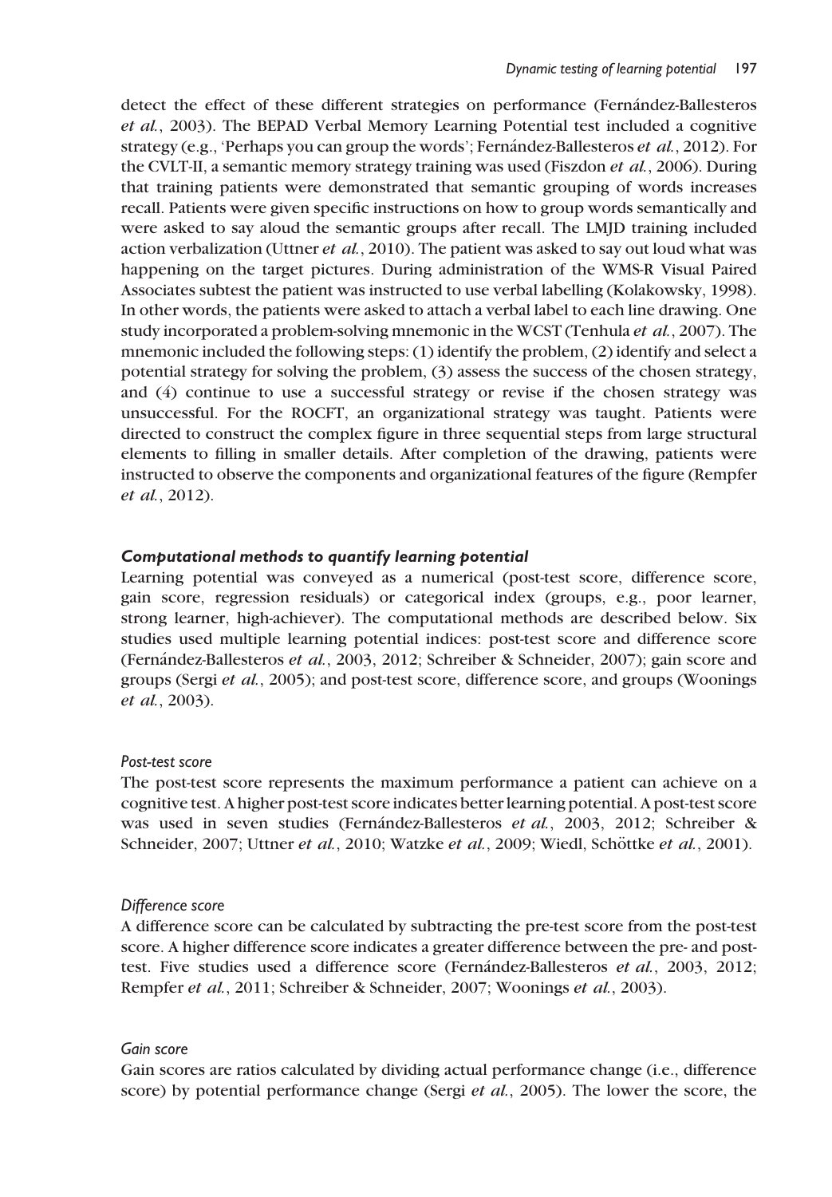detect the effect of these different strategies on performance (Fernández-Ballesteros et al., 2003). The BEPAD Verbal Memory Learning Potential test included a cognitive strategy (e.g., 'Perhaps you can group the words'; Fernández-Ballesteros et al., 2012). For the CVLT-II, a semantic memory strategy training was used (Fiszdon et al., 2006). During that training patients were demonstrated that semantic grouping of words increases recall. Patients were given specific instructions on how to group words semantically and were asked to say aloud the semantic groups after recall. The LMJD training included action verbalization (Uttner et al., 2010). The patient was asked to say out loud what was happening on the target pictures. During administration of the WMS-R Visual Paired Associates subtest the patient was instructed to use verbal labelling (Kolakowsky, 1998). In other words, the patients were asked to attach a verbal label to each line drawing. One study incorporated a problem-solving mnemonic in the WCST (Tenhula et al., 2007). The mnemonic included the following steps: (1) identify the problem, (2) identify and select a potential strategy for solving the problem, (3) assess the success of the chosen strategy, and (4) continue to use a successful strategy or revise if the chosen strategy was unsuccessful. For the ROCFT, an organizational strategy was taught. Patients were directed to construct the complex figure in three sequential steps from large structural elements to filling in smaller details. After completion of the drawing, patients were instructed to observe the components and organizational features of the figure (Rempfer et al., 2012).

## Computational methods to quantify learning potential

Learning potential was conveyed as a numerical (post-test score, difference score, gain score, regression residuals) or categorical index (groups, e.g., poor learner, strong learner, high-achiever). The computational methods are described below. Six studies used multiple learning potential indices: post-test score and difference score (Fernandez-Ballesteros et al., 2003, 2012; Schreiber & Schneider, 2007); gain score and groups (Sergi et al., 2005); and post-test score, difference score, and groups (Woonings et al., 2003).

#### Post-test score

The post-test score represents the maximum performance a patient can achieve on a cognitive test. A higher post-test score indicates better learning potential. A post-test score was used in seven studies (Fernández-Ballesteros et al., 2003, 2012; Schreiber & Schneider, 2007; Uttner et al., 2010; Watzke et al., 2009; Wiedl, Schöttke et al., 2001).

#### Difference score

A difference score can be calculated by subtracting the pre-test score from the post-test score. A higher difference score indicates a greater difference between the pre- and posttest. Five studies used a difference score (Fernández-Ballesteros et al., 2003, 2012; Rempfer et al., 2011; Schreiber & Schneider, 2007; Woonings et al., 2003).

#### Gain score

Gain scores are ratios calculated by dividing actual performance change (i.e., difference score) by potential performance change (Sergi *et al.*, 2005). The lower the score, the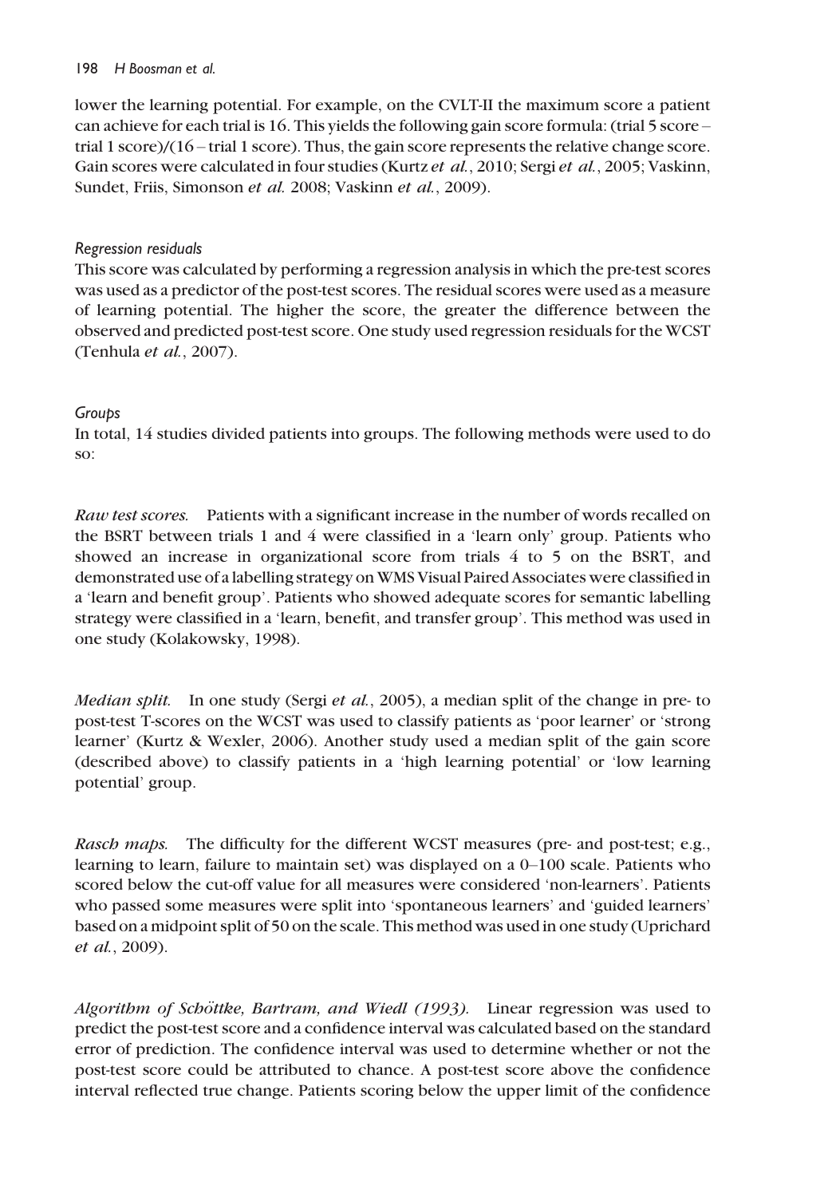#### 198 H Boosman et al.

lower the learning potential. For example, on the CVLT-II the maximum score a patient can achieve for each trial is 16. This yields the following gain score formula: (trial 5 score – trial 1 score)/(16 – trial 1 score). Thus, the gain score represents the relative change score. Gain scores were calculated in four studies (Kurtz et al., 2010; Sergi et al., 2005; Vaskinn, Sundet, Friis, Simonson et al. 2008; Vaskinn et al., 2009).

# Regression residuals

This score was calculated by performing a regression analysis in which the pre-test scores was used as a predictor of the post-test scores. The residual scores were used as a measure of learning potential. The higher the score, the greater the difference between the observed and predicted post-test score. One study used regression residuals for the WCST (Tenhula et al., 2007).

## Groups

In total, 14 studies divided patients into groups. The following methods were used to do so:

Raw test scores. Patients with a significant increase in the number of words recalled on the BSRT between trials 1 and 4 were classified in a 'learn only' group. Patients who showed an increase in organizational score from trials 4 to 5 on the BSRT, and demonstrated use of a labelling strategy onWMS Visual Paired Associates were classified in a 'learn and benefit group'. Patients who showed adequate scores for semantic labelling strategy were classified in a 'learn, benefit, and transfer group'. This method was used in one study (Kolakowsky, 1998).

*Median split.* In one study (Sergi et al., 2005), a median split of the change in pre- to post-test T-scores on the WCST was used to classify patients as 'poor learner' or 'strong learner' (Kurtz & Wexler, 2006). Another study used a median split of the gain score (described above) to classify patients in a 'high learning potential' or 'low learning potential' group.

Rasch maps. The difficulty for the different WCST measures (pre- and post-test; e.g., learning to learn, failure to maintain set) was displayed on a 0–100 scale. Patients who scored below the cut-off value for all measures were considered 'non-learners'. Patients who passed some measures were split into 'spontaneous learners' and 'guided learners' based on a midpoint split of 50 on the scale. This method was used in one study (Uprichard et al., 2009).

Algorithm of Schöttke, Bartram, and Wiedl (1993). Linear regression was used to predict the post-test score and a confidence interval was calculated based on the standard error of prediction. The confidence interval was used to determine whether or not the post-test score could be attributed to chance. A post-test score above the confidence interval reflected true change. Patients scoring below the upper limit of the confidence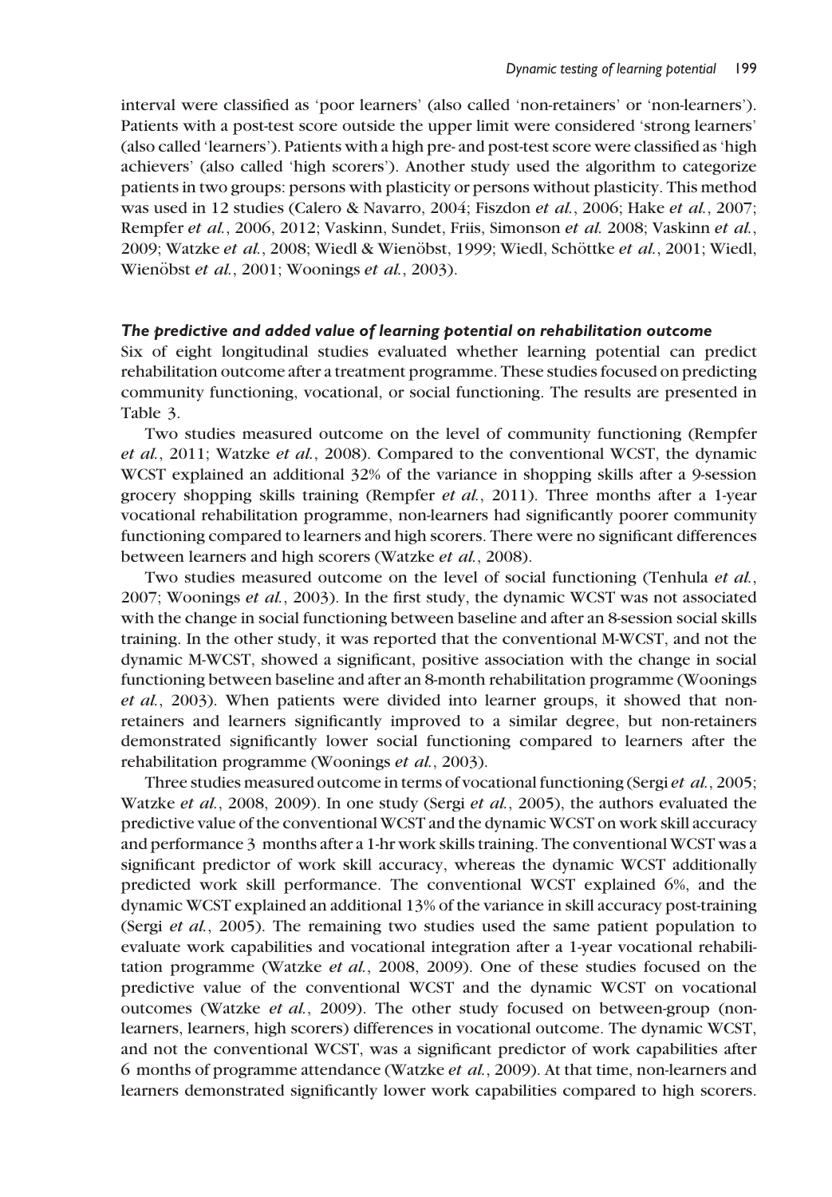interval were classified as 'poor learners' (also called 'non-retainers' or 'non-learners'). Patients with a post-test score outside the upper limit were considered 'strong learners' (also called 'learners'). Patients with a high pre- and post-test score were classified as 'high achievers' (also called 'high scorers'). Another study used the algorithm to categorize patients in two groups: persons with plasticity or persons without plasticity. This method was used in 12 studies (Calero & Navarro, 2004; Fiszdon et al., 2006; Hake et al., 2007; Rempfer et al., 2006, 2012; Vaskinn, Sundet, Friis, Simonson et al. 2008; Vaskinn et al., 2009; Watzke et al., 2008; Wiedl & Wienöbst, 1999; Wiedl, Schöttke et al., 2001; Wiedl, Wienöbst et al., 2001; Woonings et al., 2003).

#### The predictive and added value of learning potential on rehabilitation outcome

Six of eight longitudinal studies evaluated whether learning potential can predict rehabilitation outcome after a treatment programme. These studies focused on predicting community functioning, vocational, or social functioning. The results are presented in Table 3.

Two studies measured outcome on the level of community functioning (Rempfer et al., 2011; Watzke et al., 2008). Compared to the conventional WCST, the dynamic WCST explained an additional 32% of the variance in shopping skills after a 9-session grocery shopping skills training (Rempfer et al., 2011). Three months after a 1-year vocational rehabilitation programme, non-learners had significantly poorer community functioning compared to learners and high scorers. There were no significant differences between learners and high scorers (Watzke et al., 2008).

Two studies measured outcome on the level of social functioning (Tenhula et al., 2007; Woonings et al., 2003). In the first study, the dynamic WCST was not associated with the change in social functioning between baseline and after an 8-session social skills training. In the other study, it was reported that the conventional M-WCST, and not the dynamic M-WCST, showed a significant, positive association with the change in social functioning between baseline and after an 8-month rehabilitation programme (Woonings et al., 2003). When patients were divided into learner groups, it showed that nonretainers and learners significantly improved to a similar degree, but non-retainers demonstrated significantly lower social functioning compared to learners after the rehabilitation programme (Woonings et al., 2003).

Three studies measured outcome in terms of vocational functioning (Sergi et al., 2005; Watzke et al., 2008, 2009). In one study (Sergi et al., 2005), the authors evaluated the predictive value of the conventional WCST and the dynamic WCST on work skill accuracy and performance 3 months after a 1-hr work skills training. The conventional WCST was a significant predictor of work skill accuracy, whereas the dynamic WCST additionally predicted work skill performance. The conventional WCST explained 6%, and the dynamic WCST explained an additional 13% of the variance in skill accuracy post-training (Sergi et al., 2005). The remaining two studies used the same patient population to evaluate work capabilities and vocational integration after a 1-year vocational rehabilitation programme (Watzke et al., 2008, 2009). One of these studies focused on the predictive value of the conventional WCST and the dynamic WCST on vocational outcomes (Watzke et al., 2009). The other study focused on between-group (nonlearners, learners, high scorers) differences in vocational outcome. The dynamic WCST, and not the conventional WCST, was a significant predictor of work capabilities after 6 months of programme attendance (Watzke et al., 2009). At that time, non-learners and learners demonstrated significantly lower work capabilities compared to high scorers.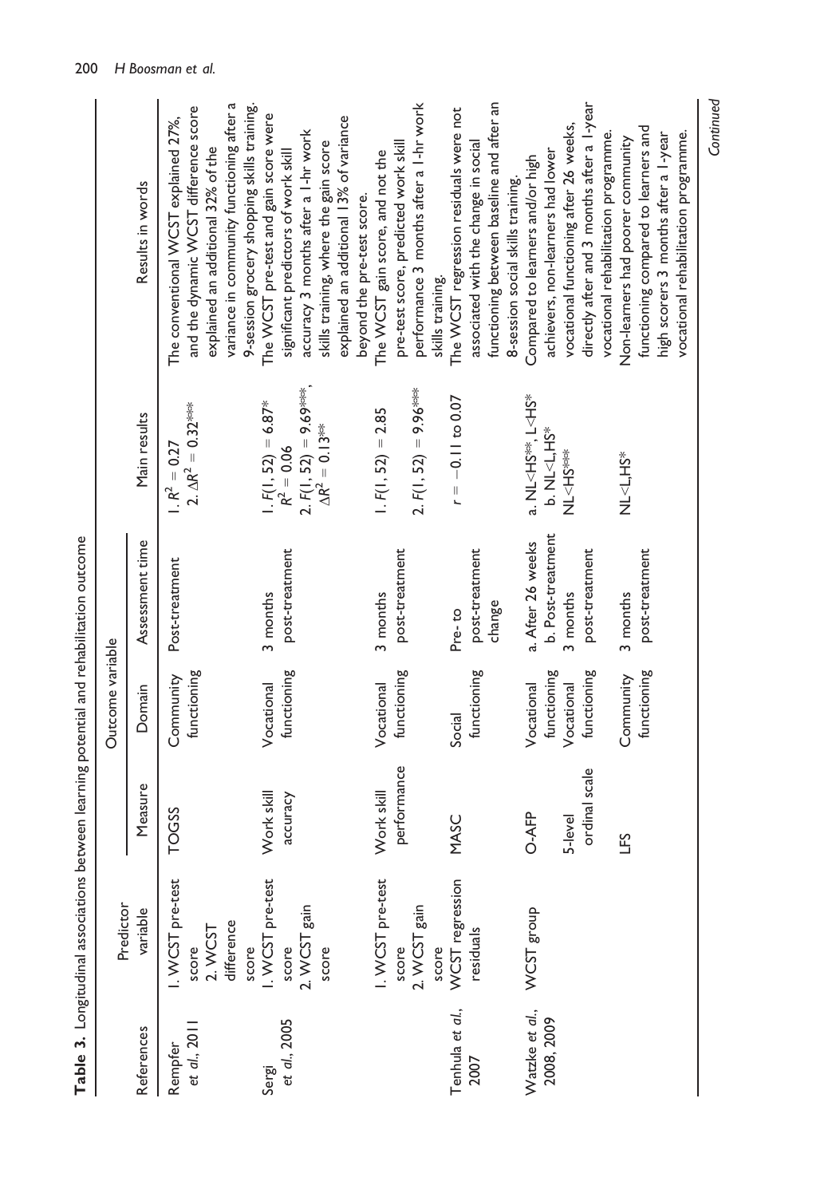| ֘֝֝֝֝֝֝֝֝֝֝֝֝֝֝֝֝֝֝֝֝֝֝֝֝֝֝֝֝֝֝֝֗ <b>֓</b><br>֧֪֝֝֟֘֝֟֬֝֟                                                     |  |
|---------------------------------------------------------------------------------------------------------------|--|
|                                                                                                               |  |
|                                                                                                               |  |
|                                                                                                               |  |
|                                                                                                               |  |
|                                                                                                               |  |
|                                                                                                               |  |
|                                                                                                               |  |
| .<br>.<br>.<br>י במסגנות המתונה במה במה המתונה במה במה המה המה במה.                                           |  |
|                                                                                                               |  |
| i<br>;<br>;                                                                                                   |  |
|                                                                                                               |  |
|                                                                                                               |  |
|                                                                                                               |  |
| ֖֧֖֧֧֖֧֧֧֧֧֧֪֧֧֧֧֪֪֪֧֧֪֪֧֛֪֪֛֪֪֛֪֧֧֛֪֪֛֪֧֧֟֟֟֟֘֝֬֝֬֝֬֝֬֝֬֝֬֝֓֝֬֝֬֝֬֝֬֝֬֝֝֬֝֬֝֓֝֬֝֬֝֬֝֬֝֬֝֬֝֬֝֬֝֬֝֬֝֬֝֬֝֬֝֬֝֬֝ |  |
|                                                                                                               |  |
|                                                                                                               |  |
|                                                                                                               |  |
|                                                                                                               |  |
|                                                                                                               |  |
|                                                                                                               |  |
|                                                                                                               |  |
|                                                                                                               |  |
|                                                                                                               |  |
|                                                                                                               |  |
|                                                                                                               |  |
|                                                                                                               |  |
| $\mathbf{r}$                                                                                                  |  |
|                                                                                                               |  |
|                                                                                                               |  |
|                                                                                                               |  |
|                                                                                                               |  |
| Table 3. Longiu                                                                                               |  |
|                                                                                                               |  |
|                                                                                                               |  |
|                                                                                                               |  |
|                                                                                                               |  |

|                              | Predictor                                                  |                                   | Outcome variable                                       |                                                                      |                                                                                                                                                                                               |                                                                                                                                                                                                                                        |
|------------------------------|------------------------------------------------------------|-----------------------------------|--------------------------------------------------------|----------------------------------------------------------------------|-----------------------------------------------------------------------------------------------------------------------------------------------------------------------------------------------|----------------------------------------------------------------------------------------------------------------------------------------------------------------------------------------------------------------------------------------|
| References                   | variable                                                   | Measure                           | Domain                                                 | Assessment time                                                      | Main results                                                                                                                                                                                  | Results in words                                                                                                                                                                                                                       |
| et al., 2011<br>Rempfer      | . WCST pre-test<br>difference<br>2. WCST<br>score<br>score | TOGSS                             | functioning<br>Community                               | Post-treatment                                                       | $2. \Delta R^2 = 0.32***$<br>$R^2 = 0.27$                                                                                                                                                     | variance in community functioning after a<br>9-session grocery shopping skills training.<br>and the dynamic WCST difference score<br>The conventional WCST explained 27%,<br>explained an additional 32% of the                        |
| et al., 2005<br>Sergi        | . WCST pre-test<br>2. WCST gain<br>score<br>score          | Work skill<br>accuracy            | functioning<br>Vocational                              | post-treatment<br>3 months                                           | 2. $F(1, 52) = 9.69***$ ,<br>$\Delta R^2 = 0.13***$<br>$I.F(I, 52) = 6.87*$<br>$R^2 = 0.06$                                                                                                   | The WCST pre-test and gain score were<br>explained an additional 13% of variance<br>accuracy 3 months after a 1-hr work<br>skills training, where the gain score<br>significant predictors of work skill<br>beyond the pre-test score. |
|                              | I. WCST pre-test<br>2. WCST gain<br>score<br>score         | performance<br>Work skill         | functioning<br>Vocational                              | post-treatment<br>3 months                                           | $2. F(1, 52) = 9.96***$<br>$I. F(1, 52) = 2.85$                                                                                                                                               | performance 3 months after a 1-hr work<br>pre-test score, predicted work skill<br>The WCST gain score, and not the<br>skills training.                                                                                                 |
| Tenhula et al.,<br>2007      | WCST regression<br>residuals                               | MASC                              | functioning<br>Social                                  | post-treatment<br>change<br>Pre-to                                   | $r = -0.11$ to 0.07                                                                                                                                                                           | functioning between baseline and after an<br>The WCST regression residuals were not<br>associated with the change in social<br>8-session social skills training.                                                                       |
| Watzke et al.,<br>2008, 2009 | WCST group                                                 | ordinal scale<br>O-AFP<br>5-level | functioning<br>functioning<br>Vocational<br>Vocational | b. Post-treatment<br>a. After 26 weeks<br>post-treatment<br>3 months | a. NL <hs**, l<hs*<br=""><math>b. NLL/L, HS^*</math><br/><b>ANSHUNIZ</b></hs**,>                                                                                                              | directly after and 3 months after a 1-year<br>vocational functioning after 26 weeks,<br>vocational rehabilitation programme.<br>achievers, non-learners had lower<br>Compared to learners and/or high                                  |
|                              |                                                            | <b>Call</b>                       | functioning<br>Community                               | post-treatment<br>3 months                                           | NL <lhs*< td=""><td>functioning compared to learners and<br/>vocational rehabilitation programme.<br/>high scorers 3 months after a 1-year<br/>Non-learners had poorer community</td></lhs*<> | functioning compared to learners and<br>vocational rehabilitation programme.<br>high scorers 3 months after a 1-year<br>Non-learners had poorer community                                                                              |
|                              |                                                            |                                   |                                                        |                                                                      |                                                                                                                                                                                               | Continued                                                                                                                                                                                                                              |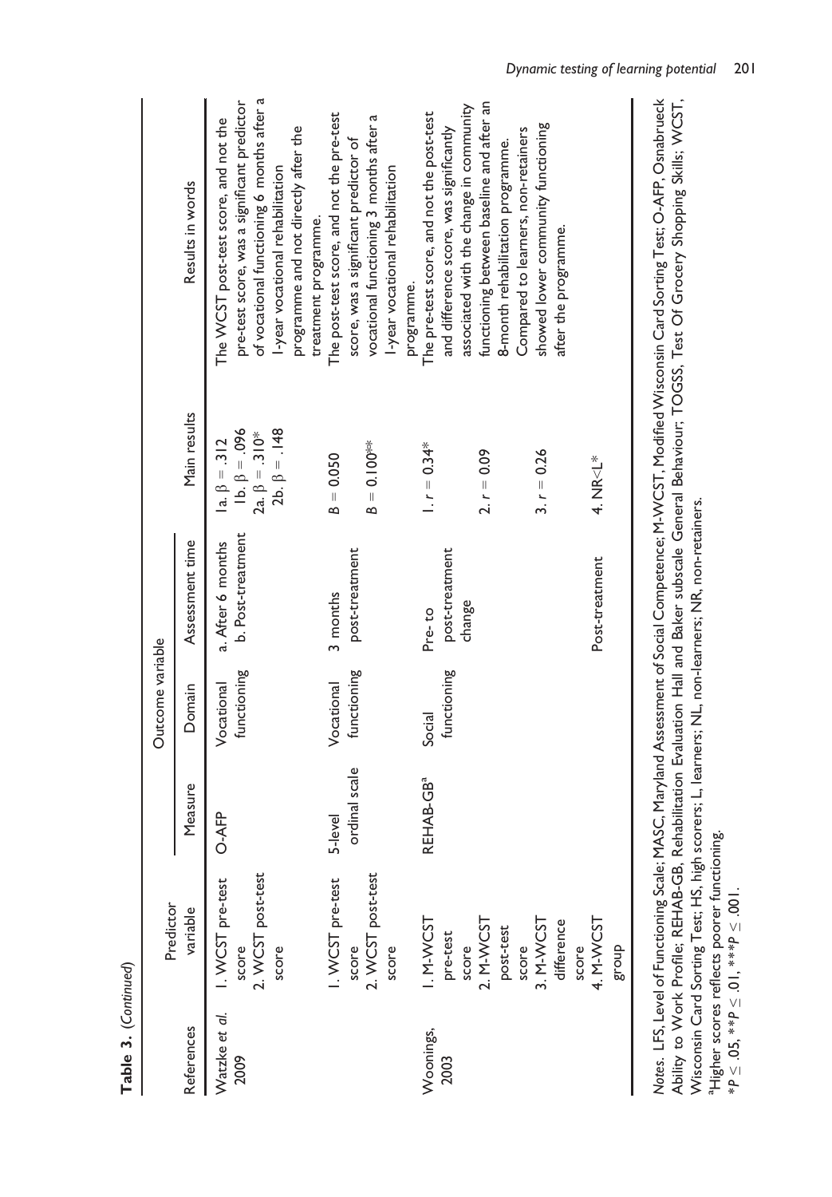| Table 3. (Continued)  |                                                                                             |                          |                           |                                        |                                                                                          |                                                                                                                                                                                                                                                                                                                        |
|-----------------------|---------------------------------------------------------------------------------------------|--------------------------|---------------------------|----------------------------------------|------------------------------------------------------------------------------------------|------------------------------------------------------------------------------------------------------------------------------------------------------------------------------------------------------------------------------------------------------------------------------------------------------------------------|
|                       | Predictor                                                                                   |                          | Outcome variable          |                                        |                                                                                          |                                                                                                                                                                                                                                                                                                                        |
| References            | variable                                                                                    | Measure                  | Domain                    | Assessment time                        | Main results                                                                             | Results in words                                                                                                                                                                                                                                                                                                       |
| Watzke et al.<br>2009 | 2. WCST post-test<br>I. WCST pre-test<br>score<br>score                                     | <b>O-AFP</b>             | functioning<br>Vocational | b. Post-treatment<br>a. After 6 months | $ b. \beta = .096$<br>2b. $\beta = .148$<br>2a. $\beta = .310^{4}$<br>$ a, \beta = .312$ | of vocational functioning 6 months after a<br>pre-test score, was a significant predictor<br>The WCST post-test score, and not the<br>programme and not directly after the<br>l-year vocational rehabilitation<br>treatment programme.                                                                                 |
|                       | 2. WCST post-test<br>I. WCST pre-test<br>score<br>score                                     | ordinal scale<br>5-level | functioning<br>Vocational | post-treatment<br>3 months             | $B = 0.100***$<br>$B = 0.050$                                                            | The post-test score, and not the pre-test<br>vocational functioning 3 months after a<br>score, was a significant predictor of<br>l-year vocational rehabilitation<br>programme.                                                                                                                                        |
| Woonings,<br>2003     | score<br>3. M-WCST<br>I.M-WCST<br>score<br>2. M-WCST<br>difference<br>post-test<br>pre-test | REHAB-GB <sup>a</sup>    | functioning<br>Social     | post-treatment<br>change<br>Pre-to     | $1. r = 0.34*$<br>$2. r = 0.09$<br>$3. r = 0.26$                                         | associated with the change in community<br>functioning between baseline and after an<br>The pre-test score, and not the post-test<br>showed lower community functioning<br>and difference score, was significantly<br>Compared to learners, non-retainers<br>8-month rehabilitation programme.<br>after the programme. |
|                       | 4. M-WCST<br>score<br>dno.8                                                                 |                          |                           | Post-treatment                         | 4. NR< $L^*$                                                                             |                                                                                                                                                                                                                                                                                                                        |
|                       |                                                                                             |                          |                           |                                        |                                                                                          |                                                                                                                                                                                                                                                                                                                        |

Table 3. (Continued)

Notes. LFS, Level of Functioning Scale; MASC, Maryland Assessment of Social Competence; M-WCST, Modified Wisconsin Card Sorting Test; O-AFP, Osnabrueck Ability to Work Profile; REHAB-GB, Rehabilitation Evaluation Hall and Baker subscale General Behaviour; TOGSS, Test Of Grocery Shopping Skills; WCST, Notes. LFS, Level of Functioning Scale; MASC, Maryland Assessment of Social Competence; M-WCST, Modified Wisconsin Card Sorting Test; O-AFP, Osnabrueck Ability to Work Profile; REHAB-GB, Rehabilitation Evaluation Hall and Baker subscale General Behaviour; TOGSS, Test Of Grocery Shopping Skills; WCST, Wisconsin Card Sorting Test; HS, high scorers; L, learners; NL, non-learners; NR, non-retainers. Wisconsin Card Sorting Test; HS, high scorers; L, learners; NL, non-learners; NR, non-retainers. aHigher scores reflects poorer functioning. aHigher scores reflects poorer functioning.

\*P ≤ .05, \*\*P ≤ .01, \*\*\*P ≤ .001.

 ${}^*\!P \leq .05, {}^{**}\!P \leq .01, {}^{***}\!P \leq .001.$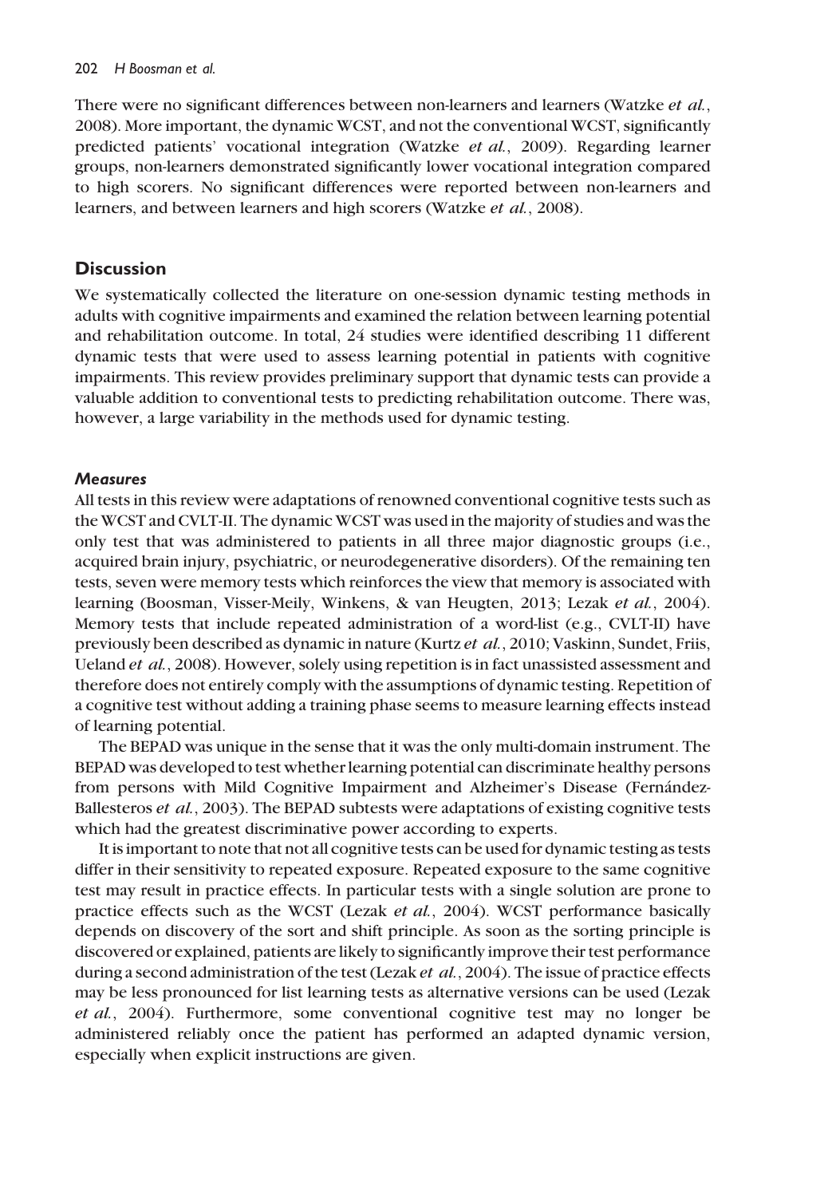There were no significant differences between non-learners and learners (Watzke et al., 2008). More important, the dynamic WCST, and not the conventional WCST, significantly predicted patients' vocational integration (Watzke et al., 2009). Regarding learner groups, non-learners demonstrated significantly lower vocational integration compared to high scorers. No significant differences were reported between non-learners and learners, and between learners and high scorers (Watzke et al., 2008).

# **Discussion**

We systematically collected the literature on one-session dynamic testing methods in adults with cognitive impairments and examined the relation between learning potential and rehabilitation outcome. In total, 24 studies were identified describing 11 different dynamic tests that were used to assess learning potential in patients with cognitive impairments. This review provides preliminary support that dynamic tests can provide a valuable addition to conventional tests to predicting rehabilitation outcome. There was, however, a large variability in the methods used for dynamic testing.

## **Measures**

All tests in this review were adaptations of renowned conventional cognitive tests such as the WCST and CVLT-II. The dynamic WCST was used in the majority of studies and was the only test that was administered to patients in all three major diagnostic groups (i.e., acquired brain injury, psychiatric, or neurodegenerative disorders). Of the remaining ten tests, seven were memory tests which reinforces the view that memory is associated with learning (Boosman, Visser-Meily, Winkens, & van Heugten, 2013; Lezak et al., 2004). Memory tests that include repeated administration of a word-list (e.g., CVLT-II) have previously been described as dynamic in nature (Kurtz et al., 2010; Vaskinn, Sundet, Friis, Ueland et al., 2008). However, solely using repetition is in fact unassisted assessment and therefore does not entirely comply with the assumptions of dynamic testing. Repetition of a cognitive test without adding a training phase seems to measure learning effects instead of learning potential.

The BEPAD was unique in the sense that it was the only multi-domain instrument. The BEPAD was developed to test whether learning potential can discriminate healthy persons from persons with Mild Cognitive Impairment and Alzheimer's Disease (Fernández-Ballesteros et al., 2003). The BEPAD subtests were adaptations of existing cognitive tests which had the greatest discriminative power according to experts.

It is important to note that not all cognitive tests can be used for dynamic testing as tests differ in their sensitivity to repeated exposure. Repeated exposure to the same cognitive test may result in practice effects. In particular tests with a single solution are prone to practice effects such as the WCST (Lezak et al., 2004). WCST performance basically depends on discovery of the sort and shift principle. As soon as the sorting principle is discovered or explained, patients are likely to significantly improve their test performance during a second administration of the test (Lezak et al., 2004). The issue of practice effects may be less pronounced for list learning tests as alternative versions can be used (Lezak et al., 2004). Furthermore, some conventional cognitive test may no longer be administered reliably once the patient has performed an adapted dynamic version, especially when explicit instructions are given.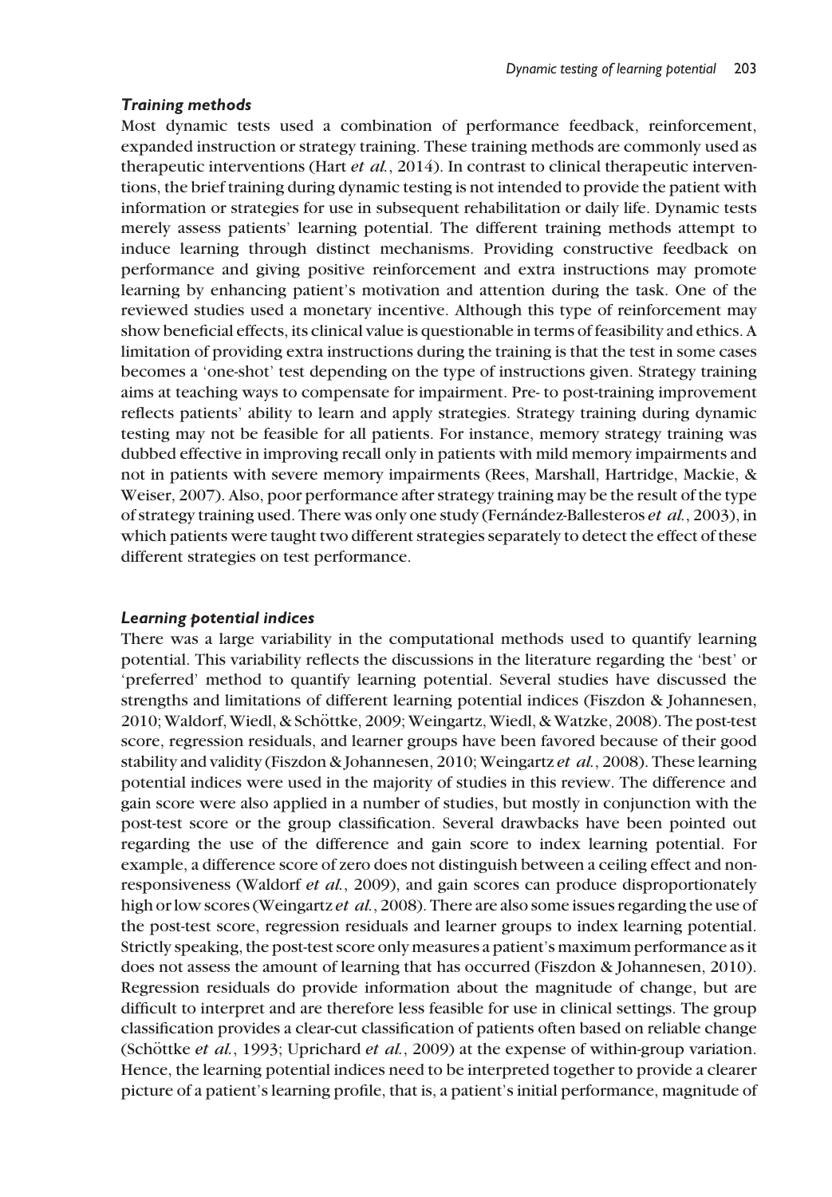#### Training methods

Most dynamic tests used a combination of performance feedback, reinforcement, expanded instruction or strategy training. These training methods are commonly used as therapeutic interventions (Hart *et al.*, 2014). In contrast to clinical therapeutic interventions, the brief training during dynamic testing is not intended to provide the patient with information or strategies for use in subsequent rehabilitation or daily life. Dynamic tests merely assess patients' learning potential. The different training methods attempt to induce learning through distinct mechanisms. Providing constructive feedback on performance and giving positive reinforcement and extra instructions may promote learning by enhancing patient's motivation and attention during the task. One of the reviewed studies used a monetary incentive. Although this type of reinforcement may show beneficial effects, its clinical value is questionable in terms of feasibility and ethics. A limitation of providing extra instructions during the training is that the test in some cases becomes a 'one-shot' test depending on the type of instructions given. Strategy training aims at teaching ways to compensate for impairment. Pre- to post-training improvement reflects patients' ability to learn and apply strategies. Strategy training during dynamic testing may not be feasible for all patients. For instance, memory strategy training was dubbed effective in improving recall only in patients with mild memory impairments and not in patients with severe memory impairments (Rees, Marshall, Hartridge, Mackie, & Weiser, 2007). Also, poor performance after strategy training may be the result of the type of strategy training used. There was only one study (Fernandez-Ballesteros et al., 2003), in which patients were taught two different strategies separately to detect the effect of these different strategies on test performance.

#### Learning potential indices

There was a large variability in the computational methods used to quantify learning potential. This variability reflects the discussions in the literature regarding the 'best' or 'preferred' method to quantify learning potential. Several studies have discussed the strengths and limitations of different learning potential indices (Fiszdon & Johannesen, 2010; Waldorf, Wiedl, & Schöttke, 2009; Weingartz, Wiedl, & Watzke, 2008). The post-test score, regression residuals, and learner groups have been favored because of their good stability and validity (Fiszdon & Johannesen, 2010; Weingartz et al., 2008). These learning potential indices were used in the majority of studies in this review. The difference and gain score were also applied in a number of studies, but mostly in conjunction with the post-test score or the group classification. Several drawbacks have been pointed out regarding the use of the difference and gain score to index learning potential. For example, a difference score of zero does not distinguish between a ceiling effect and nonresponsiveness (Waldorf et al., 2009), and gain scores can produce disproportionately high or low scores (Weingartz et al., 2008). There are also some issues regarding the use of the post-test score, regression residuals and learner groups to index learning potential. Strictly speaking, the post-test score only measures a patient's maximum performance as it does not assess the amount of learning that has occurred (Fiszdon & Johannesen, 2010). Regression residuals do provide information about the magnitude of change, but are difficult to interpret and are therefore less feasible for use in clinical settings. The group classification provides a clear-cut classification of patients often based on reliable change (Schöttke *et al.*, 1993; Uprichard *et al.*, 2009) at the expense of within-group variation. Hence, the learning potential indices need to be interpreted together to provide a clearer picture of a patient's learning profile, that is, a patient's initial performance, magnitude of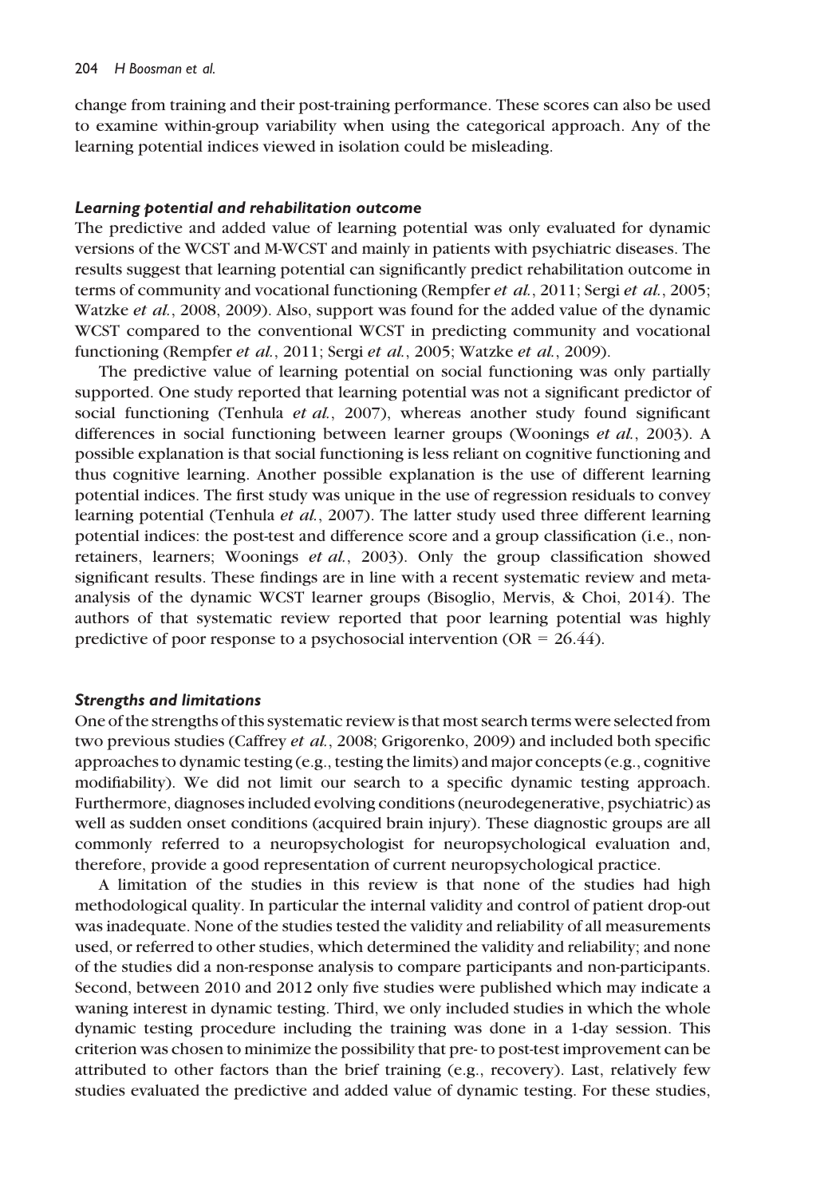change from training and their post-training performance. These scores can also be used to examine within-group variability when using the categorical approach. Any of the learning potential indices viewed in isolation could be misleading.

#### Learning potential and rehabilitation outcome

The predictive and added value of learning potential was only evaluated for dynamic versions of the WCST and M-WCST and mainly in patients with psychiatric diseases. The results suggest that learning potential can significantly predict rehabilitation outcome in terms of community and vocational functioning (Rempfer et al., 2011; Sergi et al., 2005; Watzke et al., 2008, 2009). Also, support was found for the added value of the dynamic WCST compared to the conventional WCST in predicting community and vocational functioning (Rempfer et al., 2011; Sergi et al., 2005; Watzke et al., 2009).

The predictive value of learning potential on social functioning was only partially supported. One study reported that learning potential was not a significant predictor of social functioning (Tenhula et al., 2007), whereas another study found significant differences in social functioning between learner groups (Woonings et al., 2003). A possible explanation is that social functioning is less reliant on cognitive functioning and thus cognitive learning. Another possible explanation is the use of different learning potential indices. The first study was unique in the use of regression residuals to convey learning potential (Tenhula *et al.*, 2007). The latter study used three different learning potential indices: the post-test and difference score and a group classification (i.e., nonretainers, learners; Woonings et al., 2003). Only the group classification showed significant results. These findings are in line with a recent systematic review and metaanalysis of the dynamic WCST learner groups (Bisoglio, Mervis, & Choi, 2014). The authors of that systematic review reported that poor learning potential was highly predictive of poor response to a psychosocial intervention ( $OR = 26.44$ ).

#### Strengths and limitations

One of the strengths of this systematic review is that most search terms were selected from two previous studies (Caffrey et al., 2008; Grigorenko, 2009) and included both specific approaches to dynamic testing (e.g., testing the limits) and major concepts (e.g., cognitive modifiability). We did not limit our search to a specific dynamic testing approach. Furthermore, diagnoses included evolving conditions (neurodegenerative, psychiatric) as well as sudden onset conditions (acquired brain injury). These diagnostic groups are all commonly referred to a neuropsychologist for neuropsychological evaluation and, therefore, provide a good representation of current neuropsychological practice.

A limitation of the studies in this review is that none of the studies had high methodological quality. In particular the internal validity and control of patient drop-out was inadequate. None of the studies tested the validity and reliability of all measurements used, or referred to other studies, which determined the validity and reliability; and none of the studies did a non-response analysis to compare participants and non-participants. Second, between 2010 and 2012 only five studies were published which may indicate a waning interest in dynamic testing. Third, we only included studies in which the whole dynamic testing procedure including the training was done in a 1-day session. This criterion was chosen to minimize the possibility that pre- to post-test improvement can be attributed to other factors than the brief training (e.g., recovery). Last, relatively few studies evaluated the predictive and added value of dynamic testing. For these studies,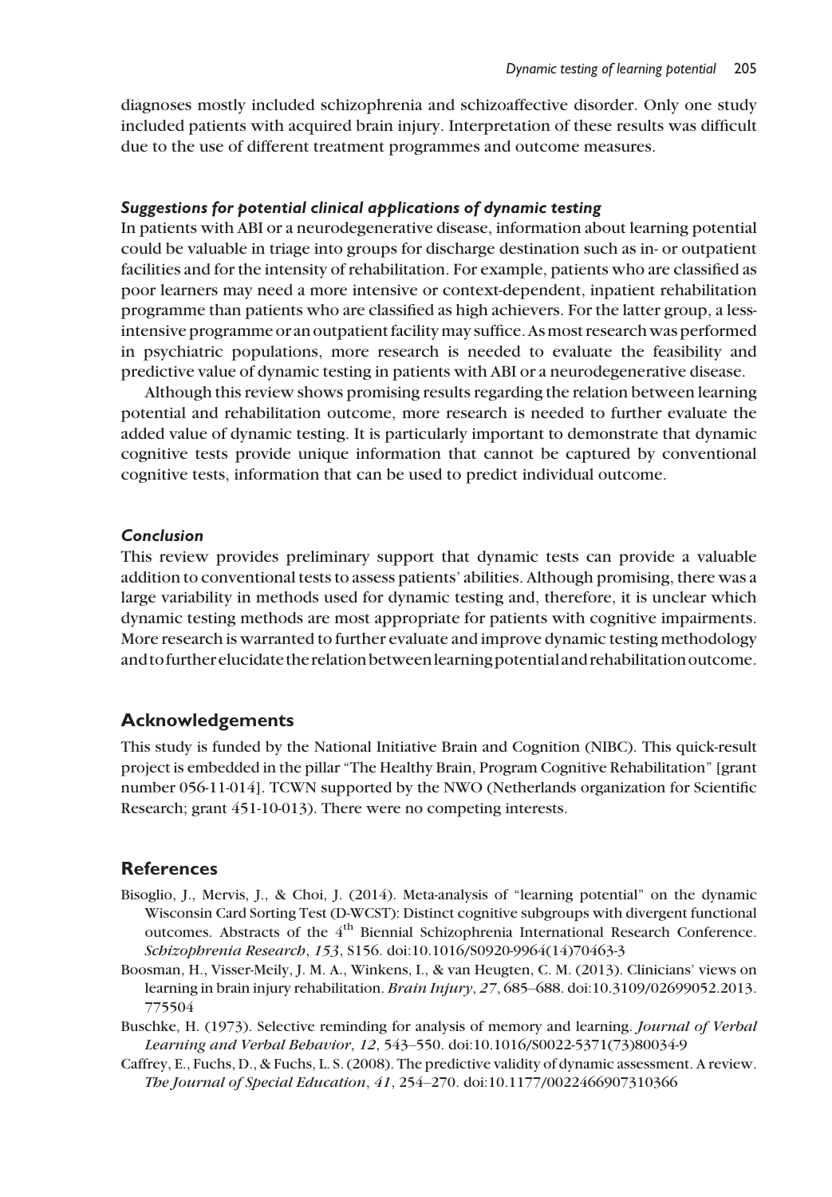diagnoses mostly included schizophrenia and schizoaffective disorder. Only one study included patients with acquired brain injury. Interpretation of these results was difficult due to the use of different treatment programmes and outcome measures.

## Suggestions for potential clinical applications of dynamic testing

In patients with ABI or a neurodegenerative disease, information about learning potential could be valuable in triage into groups for discharge destination such as in- or outpatient facilities and for the intensity of rehabilitation. For example, patients who are classified as poor learners may need a more intensive or context-dependent, inpatient rehabilitation programme than patients who are classified as high achievers. For the latter group, a lessintensive programme or an outpatient facility may suffice. Asmost research was performed in psychiatric populations, more research is needed to evaluate the feasibility and predictive value of dynamic testing in patients with ABI or a neurodegenerative disease.

Although this review shows promising results regarding the relation between learning potential and rehabilitation outcome, more research is needed to further evaluate the added value of dynamic testing. It is particularly important to demonstrate that dynamic cognitive tests provide unique information that cannot be captured by conventional cognitive tests, information that can be used to predict individual outcome.

# Conclusion

This review provides preliminary support that dynamic tests can provide a valuable addition to conventional tests to assess patients' abilities. Although promising, there was a large variability in methods used for dynamic testing and, therefore, it is unclear which dynamic testing methods are most appropriate for patients with cognitive impairments. More research is warranted to further evaluate and improve dynamic testing methodology and to furtherelucidate the relation betweenlearningpotentialand rehabilitationoutcome.

# Acknowledgements

This study is funded by the National Initiative Brain and Cognition (NIBC). This quick-result project is embedded in the pillar "The Healthy Brain, Program Cognitive Rehabilitation" [grant number 056-11-014]. TCWN supported by the NWO (Netherlands organization for Scientific Research; grant 451-10-013). There were no competing interests.

# **References**

- Bisoglio, J., Mervis, J., & Choi, J. (2014). Meta-analysis of "learning potential" on the dynamic Wisconsin Card Sorting Test (D-WCST): Distinct cognitive subgroups with divergent functional outcomes. Abstracts of the 4<sup>th</sup> Biennial Schizophrenia International Research Conference. Schizophrenia Research, 153, S156. doi:10.1016/S0920-9964(14)70463-3
- Boosman, H., Visser-Meily, J. M. A., Winkens, I., & van Heugten, C. M. (2013). Clinicians' views on learning in brain injury rehabilitation. Brain Injury, 27, 685–688. doi:10.3109/02699052.2013. 775504
- Buschke, H. (1973). Selective reminding for analysis of memory and learning. Journal of Verbal Learning and Verbal Behavior, 12, 543–550. doi:10.1016/S0022-5371(73)80034-9
- Caffrey, E., Fuchs, D., & Fuchs, L. S. (2008). The predictive validity of dynamic assessment. A review. The Journal of Special Education, 41, 254–270. doi:10.1177/0022466907310366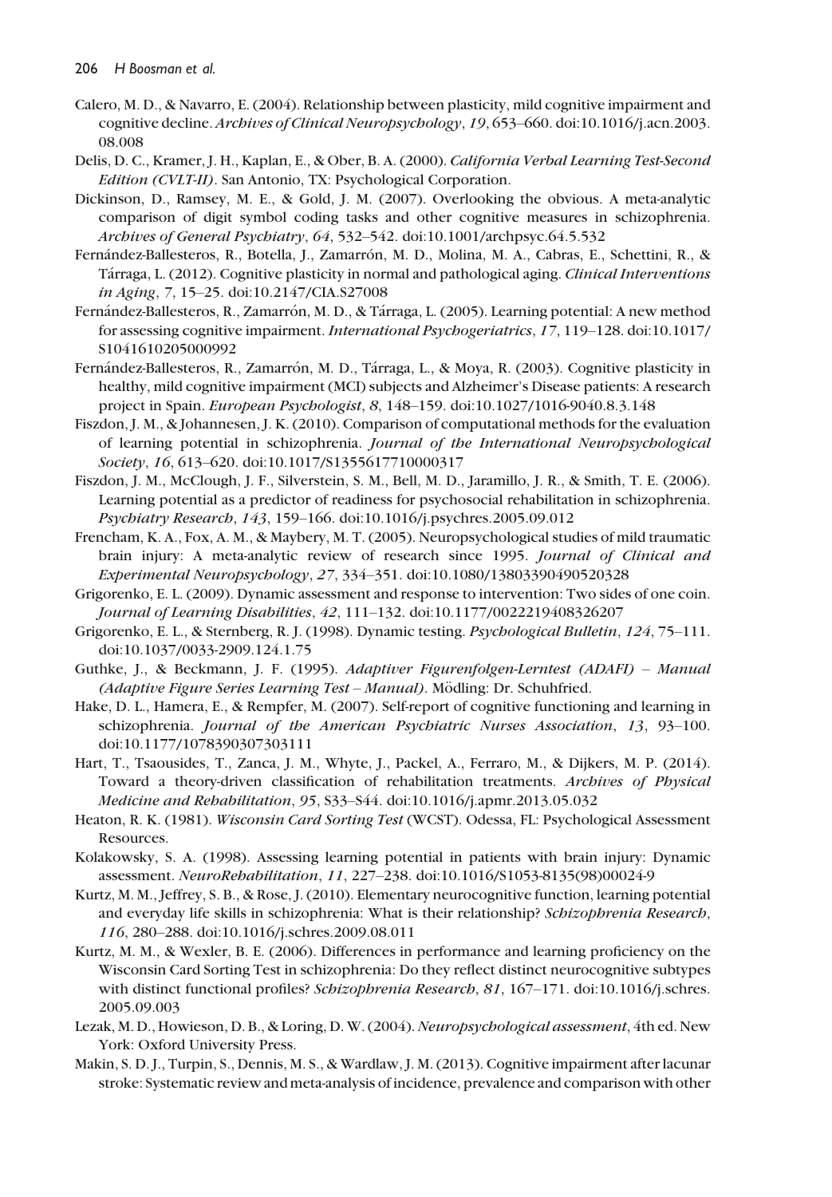- Calero, M. D., & Navarro, E. (2004). Relationship between plasticity, mild cognitive impairment and cognitive decline. Archives of Clinical Neuropsychology, 19, 653–660. doi:10.1016/j.acn.2003. 08.008
- Delis, D. C., Kramer, J. H., Kaplan, E., & Ober, B. A. (2000). California Verbal Learning Test-Second Edition (CVLT-II). San Antonio, TX: Psychological Corporation.
- Dickinson, D., Ramsey, M. E., & Gold, J. M. (2007). Overlooking the obvious. A meta-analytic comparison of digit symbol coding tasks and other cognitive measures in schizophrenia. Archives of General Psychiatry, 64, 532–542. doi:10.1001/archpsyc.64.5.532
- Fernandez-Ballesteros, R., Botella, J., Zamarron, M. D., Molina, M. A., Cabras, E., Schettini, R., & Tarraga, L. (2012). Cognitive plasticity in normal and pathological aging. Clinical Interventions in Aging, 7, 15–25. doi:10.2147/CIA.S27008
- Fernández-Ballesteros, R., Zamarrón, M. D., & Tárraga, L. (2005). Learning potential: A new method for assessing cognitive impairment. International Psychogeriatrics, 17, 119–128. doi:10.1017/ S1041610205000992
- Fernández-Ballesteros, R., Zamarrón, M. D., Tárraga, L., & Moya, R. (2003). Cognitive plasticity in healthy, mild cognitive impairment (MCI) subjects and Alzheimer's Disease patients: A research project in Spain. European Psychologist, 8, 148–159. doi:10.1027/1016-9040.8.3.148
- Fiszdon, J. M., & Johannesen, J. K. (2010). Comparison of computational methods for the evaluation of learning potential in schizophrenia. Journal of the International Neuropsychological Society, 16, 613–620. doi:10.1017/S1355617710000317
- Fiszdon, J. M., McClough, J. F., Silverstein, S. M., Bell, M. D., Jaramillo, J. R., & Smith, T. E. (2006). Learning potential as a predictor of readiness for psychosocial rehabilitation in schizophrenia. Psychiatry Research, 143, 159–166. doi:10.1016/j.psychres.2005.09.012
- Frencham, K. A., Fox, A. M., & Maybery, M. T. (2005). Neuropsychological studies of mild traumatic brain injury: A meta-analytic review of research since 1995. Journal of Clinical and Experimental Neuropsychology, 27, 334–351. doi:10.1080/13803390490520328
- Grigorenko, E. L. (2009). Dynamic assessment and response to intervention: Two sides of one coin. Journal of Learning Disabilities, 42, 111–132. doi:10.1177/0022219408326207
- Grigorenko, E. L., & Sternberg, R. J. (1998). Dynamic testing. Psychological Bulletin, 124, 75–111. doi:10.1037/0033-2909.124.1.75
- Guthke, J., & Beckmann, J. F. (1995). Adaptiver Figurenfolgen-Lerntest (ADAFI) Manual (Adaptive Figure Series Learning Test - Manual). Mödling: Dr. Schuhfried.
- Hake, D. L., Hamera, E., & Rempfer, M. (2007). Self-report of cognitive functioning and learning in schizophrenia. Journal of the American Psychiatric Nurses Association, 13, 93–100. doi:10.1177/1078390307303111
- Hart, T., Tsaousides, T., Zanca, J. M., Whyte, J., Packel, A., Ferraro, M., & Dijkers, M. P. (2014). Toward a theory-driven classification of rehabilitation treatments. Archives of Physical Medicine and Rehabilitation, 95, S33–S44. doi:10.1016/j.apmr.2013.05.032
- Heaton, R. K. (1981). Wisconsin Card Sorting Test (WCST). Odessa, FL: Psychological Assessment Resources.
- Kolakowsky, S. A. (1998). Assessing learning potential in patients with brain injury: Dynamic assessment. NeuroRehabilitation, 11, 227–238. doi:10.1016/S1053-8135(98)00024-9
- Kurtz, M. M., Jeffrey, S. B., & Rose, J. (2010). Elementary neurocognitive function, learning potential and everyday life skills in schizophrenia: What is their relationship? Schizophrenia Research, 116, 280–288. doi:10.1016/j.schres.2009.08.011
- Kurtz, M. M., & Wexler, B. E. (2006). Differences in performance and learning proficiency on the Wisconsin Card Sorting Test in schizophrenia: Do they reflect distinct neurocognitive subtypes with distinct functional profiles? Schizophrenia Research, 81, 167-171. doi:10.1016/j.schres. 2005.09.003
- Lezak, M. D., Howieson, D. B., & Loring, D. W. (2004). Neuropsychological assessment, 4th ed. New York: Oxford University Press.
- Makin, S. D. J., Turpin, S., Dennis, M. S., & Wardlaw, J. M. (2013). Cognitive impairment after lacunar stroke: Systematic review and meta-analysis of incidence, prevalence and comparison with other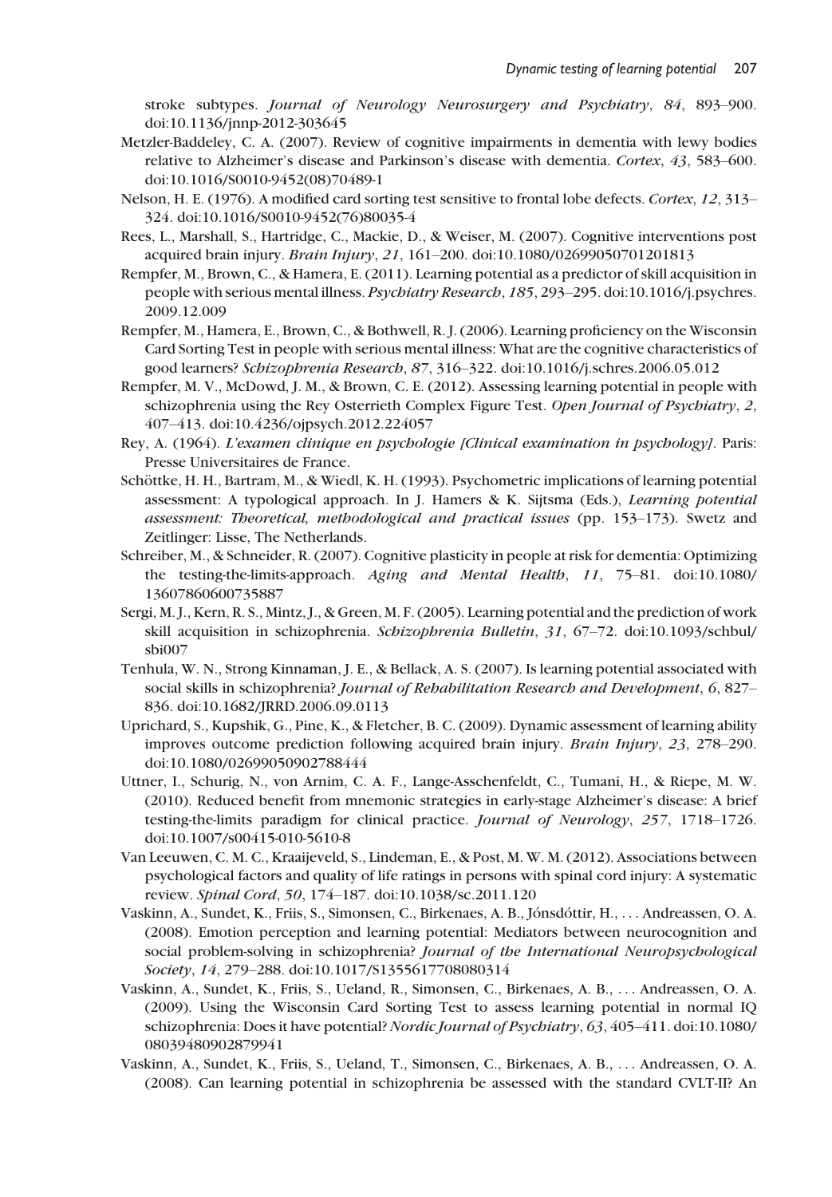stroke subtypes. Journal of Neurology Neurosurgery and Psychiatry, 84, 893–900. doi:10.1136/jnnp-2012-303645

- Metzler-Baddeley, C. A. (2007). Review of cognitive impairments in dementia with lewy bodies relative to Alzheimer's disease and Parkinson's disease with dementia. Cortex, 43, 583–600. doi:10.1016/S0010-9452(08)70489-1
- Nelson, H. E. (1976). A modified card sorting test sensitive to frontal lobe defects. Cortex, 12, 313– 324. doi:10.1016/S0010-9452(76)80035-4
- Rees, L., Marshall, S., Hartridge, C., Mackie, D., & Weiser, M. (2007). Cognitive interventions post acquired brain injury. Brain Injury, 21, 161–200. doi:10.1080/02699050701201813
- Rempfer, M., Brown, C., & Hamera, E. (2011). Learning potential as a predictor of skill acquisition in people with serious mental illness. Psychiatry Research, 185, 293–295. doi:10.1016/j.psychres. 2009.12.009
- Rempfer, M., Hamera, E., Brown, C., & Bothwell, R. J. (2006). Learning proficiency on the Wisconsin Card Sorting Test in people with serious mental illness: What are the cognitive characteristics of good learners? Schizophrenia Research, 87, 316–322. doi:10.1016/j.schres.2006.05.012
- Rempfer, M. V., McDowd, J. M., & Brown, C. E. (2012). Assessing learning potential in people with schizophrenia using the Rey Osterrieth Complex Figure Test. Open Journal of Psychiatry, 2, 407–413. doi:10.4236/ojpsych.2012.224057
- Rey, A. (1964). L'examen clinique en psychologie [Clinical examination in psychology]. Paris: Presse Universitaires de France.
- Schöttke, H. H., Bartram, M., & Wiedl, K. H. (1993). Psychometric implications of learning potential assessment: A typological approach. In J. Hamers & K. Sijtsma (Eds.), Learning potential assessment: Theoretical, methodological and practical issues (pp. 153–173). Swetz and Zeitlinger: Lisse, The Netherlands.
- Schreiber, M., & Schneider, R. (2007). Cognitive plasticity in people at risk for dementia: Optimizing the testing-the-limits-approach. Aging and Mental Health, 11, 75–81. doi:10.1080/ 13607860600735887
- Sergi, M. J., Kern, R. S., Mintz, J., & Green, M. F. (2005). Learning potential and the prediction of work skill acquisition in schizophrenia. Schizophrenia Bulletin, 31, 67–72. doi:10.1093/schbul/ sbi007
- Tenhula, W. N., Strong Kinnaman, J. E., & Bellack, A. S. (2007). Is learning potential associated with social skills in schizophrenia? Journal of Rehabilitation Research and Development, 6, 827– 836. doi:10.1682/JRRD.2006.09.0113
- Uprichard, S., Kupshik, G., Pine, K., & Fletcher, B. C. (2009). Dynamic assessment of learning ability improves outcome prediction following acquired brain injury. Brain Injury, 23, 278–290. doi:10.1080/02699050902788444
- Uttner, I., Schurig, N., von Arnim, C. A. F., Lange-Asschenfeldt, C., Tumani, H., & Riepe, M. W. (2010). Reduced benefit from mnemonic strategies in early-stage Alzheimer's disease: A brief testing-the-limits paradigm for clinical practice. Journal of Neurology, 257, 1718–1726. doi:10.1007/s00415-010-5610-8
- Van Leeuwen, C. M. C., Kraaijeveld, S., Lindeman, E., & Post, M. W. M. (2012). Associations between psychological factors and quality of life ratings in persons with spinal cord injury: A systematic review. Spinal Cord, 50, 174–187. doi:10.1038/sc.2011.120
- Vaskinn, A., Sundet, K., Friis, S., Simonsen, C., Birkenaes, A. B., Jónsdóttir, H., ... Andreassen, O. A. (2008). Emotion perception and learning potential: Mediators between neurocognition and social problem-solving in schizophrenia? Journal of the International Neuropsychological Society, 14, 279–288. doi:10.1017/S1355617708080314
- Vaskinn, A., Sundet, K., Friis, S., Ueland, R., Simonsen, C., Birkenaes, A. B., ... Andreassen, O. A. (2009). Using the Wisconsin Card Sorting Test to assess learning potential in normal IQ schizophrenia: Does it have potential? Nordic Journal of Psychiatry, 63, 405–411. doi:10.1080/ 08039480902879941
- Vaskinn, A., Sundet, K., Friis, S., Ueland, T., Simonsen, C., Birkenaes, A. B., ... Andreassen, O. A. (2008). Can learning potential in schizophrenia be assessed with the standard CVLT-II? An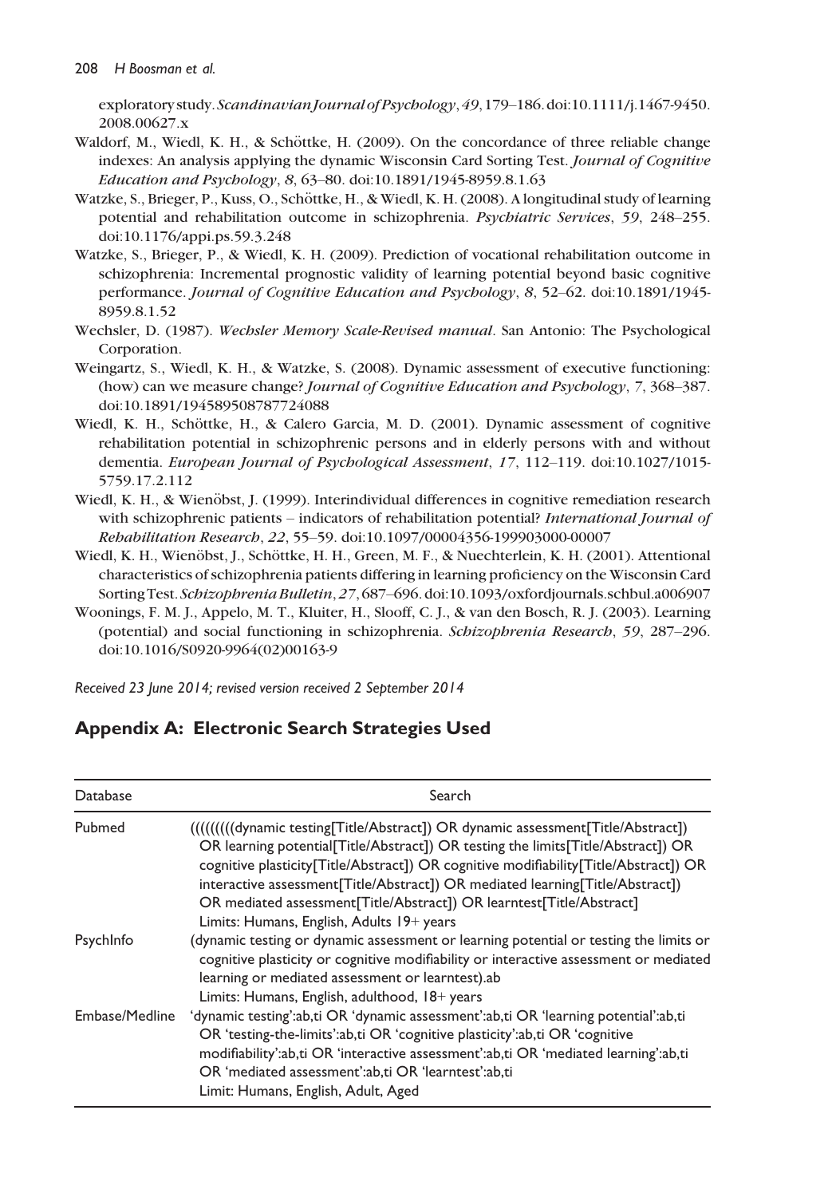exploratory study.Scandinavian JournalofPsychology,49, 179–186.doi:10.1111/j.1467-9450. 2008.00627.x

- Waldorf, M., Wiedl, K. H., & Schöttke, H. (2009). On the concordance of three reliable change indexes: An analysis applying the dynamic Wisconsin Card Sorting Test. Journal of Cognitive Education and Psychology, 8, 63–80. doi:10.1891/1945-8959.8.1.63
- Watzke, S., Brieger, P., Kuss, O., Schöttke, H., & Wiedl, K. H. (2008). A longitudinal study of learning potential and rehabilitation outcome in schizophrenia. Psychiatric Services, 59, 248–255. doi:10.1176/appi.ps.59.3.248
- Watzke, S., Brieger, P., & Wiedl, K. H. (2009). Prediction of vocational rehabilitation outcome in schizophrenia: Incremental prognostic validity of learning potential beyond basic cognitive performance. Journal of Cognitive Education and Psychology, 8, 52–62. doi:10.1891/1945- 8959.8.1.52
- Wechsler, D. (1987). Wechsler Memory Scale-Revised manual. San Antonio: The Psychological Corporation.
- Weingartz, S., Wiedl, K. H., & Watzke, S. (2008). Dynamic assessment of executive functioning: (how) can we measure change? *Journal of Cognitive Education and Psychology*, 7, 368–387. doi:10.1891/194589508787724088
- Wiedl, K. H., Schöttke, H., & Calero Garcia, M. D. (2001). Dynamic assessment of cognitive rehabilitation potential in schizophrenic persons and in elderly persons with and without dementia. European Journal of Psychological Assessment, 17, 112–119. doi:10.1027/1015- 5759.17.2.112
- Wiedl, K. H., & Wienöbst, J. (1999). Interindividual differences in cognitive remediation research with schizophrenic patients – indicators of rehabilitation potential? International Journal of Rehabilitation Research, 22, 55–59. doi:10.1097/00004356-199903000-00007
- Wiedl, K. H., Wienöbst, J., Schöttke, H. H., Green, M. F., & Nuechterlein, K. H. (2001). Attentional characteristics of schizophrenia patients differing in learning proficiency on the Wisconsin Card Sorting Test. Schizophrenia Bulletin,27, 687–696. doi:10.1093/oxfordjournals.schbul.a006907
- Woonings, F. M. J., Appelo, M. T., Kluiter, H., Slooff, C. J., & van den Bosch, R. J. (2003). Learning (potential) and social functioning in schizophrenia. Schizophrenia Research, 59, 287–296. doi:10.1016/S0920-9964(02)00163-9

Received 23 June 2014; revised version received 2 September 2014

| Database       | Search                                                                                                                                                                                                                                                                                                                                                                                                                                                            |
|----------------|-------------------------------------------------------------------------------------------------------------------------------------------------------------------------------------------------------------------------------------------------------------------------------------------------------------------------------------------------------------------------------------------------------------------------------------------------------------------|
| Pubmed         | ((((((((dynamic testing[Title/Abstract]) OR dynamic assessment[Title/Abstract])<br>OR learning potential[Title/Abstract]) OR testing the limits[Title/Abstract]) OR<br>cognitive plasticity[Title/Abstract]) OR cognitive modifiability[Title/Abstract]) OR<br>interactive assessment[Title/Abstract]) OR mediated learning[Title/Abstract])<br>OR mediated assessment[Title/Abstract]) OR learntest[Title/Abstract]<br>Limits: Humans, English, Adults 19+ years |
| PsychInfo      | (dynamic testing or dynamic assessment or learning potential or testing the limits or<br>cognitive plasticity or cognitive modifiability or interactive assessment or mediated<br>learning or mediated assessment or learntest).ab<br>Limits: Humans, English, adulthood, 18+ years                                                                                                                                                                               |
| Embase/Medline | 'dynamic testing':ab,ti OR 'dynamic assessment':ab,ti OR 'learning potential':ab,ti<br>OR 'testing-the-limits':ab,ti OR 'cognitive plasticity':ab,ti OR 'cognitive<br>modifiability':ab,ti OR 'interactive assessment':ab,ti OR 'mediated learning':ab,ti<br>OR 'mediated assessment':ab,ti OR 'learntest':ab,ti<br>Limit: Humans, English, Adult, Aged                                                                                                           |

# Appendix A: Electronic Search Strategies Used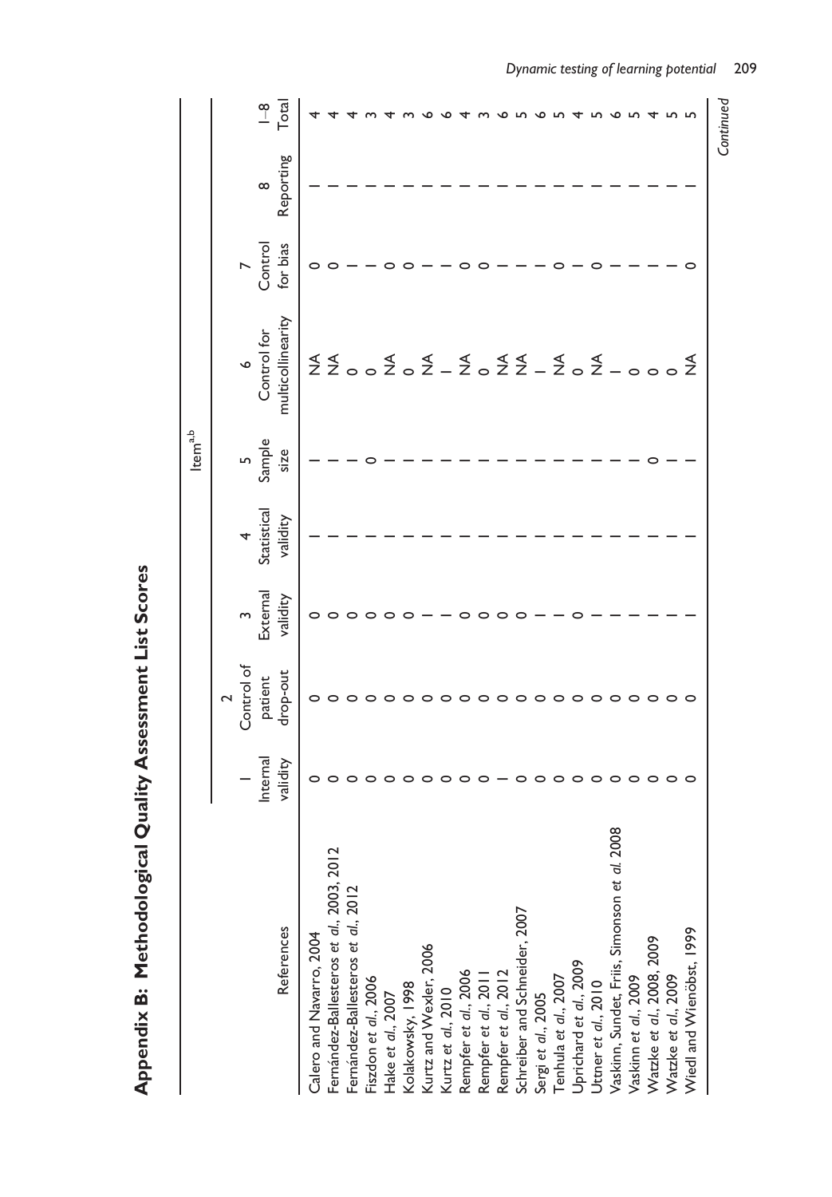|                                                                                                                                                                                                                                                                                         |          |                       |               |                    | Item <sup>a,b</sup> |                   |                            |           |                |
|-----------------------------------------------------------------------------------------------------------------------------------------------------------------------------------------------------------------------------------------------------------------------------------------|----------|-----------------------|---------------|--------------------|---------------------|-------------------|----------------------------|-----------|----------------|
|                                                                                                                                                                                                                                                                                         |          | $\sim$                |               |                    |                     |                   |                            |           |                |
|                                                                                                                                                                                                                                                                                         | Internal | Control of<br>patient | 3<br>External | $4$<br>Statistical | 5<br>Sample         | Control for       | $\frac{7}{\text{Control}}$ | $\infty$  |                |
| References                                                                                                                                                                                                                                                                              | validity | drop-out              | validity      | validity           | size                | multicollinearity | for bias                   | Reporting | $\frac{9}{10}$ |
| Calero and Navarro, 2004                                                                                                                                                                                                                                                                |          |                       |               |                    |                     |                   |                            |           |                |
| Fernández-Ballesteros et al., 2003, 2012                                                                                                                                                                                                                                                |          |                       |               |                    |                     |                   |                            |           |                |
|                                                                                                                                                                                                                                                                                         |          |                       |               |                    |                     |                   |                            |           |                |
| Fernández-Ballesteros et <i>al.,</i> 2012<br>Fiszdon et <i>al.,</i> 2006<br>Hake et <i>al., 2007</i><br>Kolakowsky, 1998<br>Kurtz and Wexler, 2006<br>Kurtz et <i>al.,</i> 2010<br>Rempfer et <i>al.,</i> 2010<br>Rempfer et <i>al.,</i> 2012<br>Schreiber and Schneider, 2007<br>Sergi |          |                       |               |                    |                     |                   |                            |           |                |
|                                                                                                                                                                                                                                                                                         |          |                       |               |                    |                     |                   |                            |           |                |
|                                                                                                                                                                                                                                                                                         |          |                       |               |                    |                     |                   |                            |           |                |
|                                                                                                                                                                                                                                                                                         |          |                       |               |                    |                     |                   |                            |           |                |
|                                                                                                                                                                                                                                                                                         |          |                       |               |                    |                     |                   |                            |           |                |
|                                                                                                                                                                                                                                                                                         |          |                       |               |                    |                     |                   |                            |           |                |
|                                                                                                                                                                                                                                                                                         |          |                       |               |                    |                     |                   |                            |           |                |
|                                                                                                                                                                                                                                                                                         |          | $\circ$ $\circ$       |               |                    |                     |                   |                            |           |                |
|                                                                                                                                                                                                                                                                                         |          | $\circ$               |               |                    |                     |                   |                            |           |                |
|                                                                                                                                                                                                                                                                                         |          | $\circ$               |               |                    |                     |                   |                            |           |                |
|                                                                                                                                                                                                                                                                                         |          |                       |               |                    |                     |                   |                            |           |                |
|                                                                                                                                                                                                                                                                                         |          | 0                     |               |                    |                     |                   |                            |           |                |
|                                                                                                                                                                                                                                                                                         |          | $\circ$               |               |                    |                     |                   |                            |           |                |
| 2008                                                                                                                                                                                                                                                                                    |          |                       |               |                    |                     |                   |                            |           |                |
|                                                                                                                                                                                                                                                                                         |          |                       |               |                    |                     |                   |                            |           |                |
|                                                                                                                                                                                                                                                                                         |          | $\circ$               |               |                    |                     |                   |                            |           |                |
| Vaskinn et al., 2009<br>Watzke et al., 2008, 2009<br>Watzke et al., 2009                                                                                                                                                                                                                |          |                       |               |                    |                     |                   |                            |           |                |
| Wiedl and Wienöbst, 1999                                                                                                                                                                                                                                                                |          |                       |               |                    |                     |                   |                            |           |                |
|                                                                                                                                                                                                                                                                                         |          |                       |               |                    |                     |                   |                            |           | Continued      |

Appendix B: Methodological Quality Assessment List Scores Appendix B: Methodological Quality Assessment List Scores